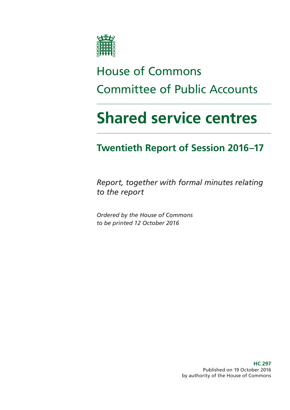

# House of Commons Committee of Public Accounts

# **Shared service centres**

### **Twentieth Report of Session 2016–17**

*Report, together with formal minutes relating to the report*

*Ordered by the House of Commons to be printed 12 October 2016*

> **HC 297** Published on 19 October 2016 by authority of the House of Commons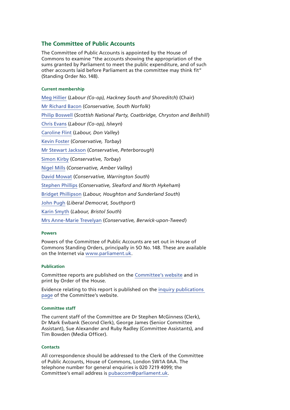#### **The Committee of Public Accounts**

The Committee of Public Accounts is appointed by the House of Commons to examine "the accounts showing the appropriation of the sums granted by Parliament to meet the public expenditure, and of such other accounts laid before Parliament as the committee may think fit" (Standing Order No.148).

#### **Current membership**

[Meg Hillier](http://www.parliament.uk/biographies/commons/meg-hillier/1524) (*Labour (Co-op), Hackney South and Shoreditch*) (Chair) [Mr Richard Bacon](http://www.parliament.uk/biographies/commons/mr-richard-bacon/1451) (*Conservative, South Norfolk*) [Philip Boswell](https://www.parliament.uk/biographies/commons/philip-boswell/4388) (*Scottish National Party, Coatbridge, Chryston and Bellshill*) [Chris Evans](http://www.parliament.uk/biographies/commons/chris-evans/4040) (*Labour (Co-op), Islwyn*) [Caroline Flint](http://www.parliament.uk/biographies/commons/caroline-flint/389) (*Labour, Don Valley*) [Kevin Foster](http://www.parliament.uk/biographies/commons/kevin-foster/4451) (*Conservative, Torbay*) [Mr Stewart Jackson](http://www.parliament.uk/biographies/commons/mr-stewart-jackson/1551) (*Conservative, Peterborough*) [Simon Kirby](https://www.parliament.uk/biographies/commons/simon-kirby/3929) (*Conservative, Torbay*) [Nigel Mills](http://www.parliament.uk/biographies/commons/nigel-mills/4136) (*Conservative, Amber Valley*) [David Mowat](http://www.parliament.uk/biographies/commons/david-mowat/4080) (*Conservative, Warrington South*) [Stephen Phillips](http://www.parliament.uk/biographies/commons/stephen-phillips/4054) (*Conservative, Sleaford and North Hykeham*) [Bridget Phillipson](http://www.parliament.uk/biographies/commons/bridget-phillipson/4046) (*Labour, Houghton and Sunderland South*) [John Pugh](http://www.parliament.uk/biographies/commons/john-pugh/1454) (*Liberal Democrat, Southport*) [Karin Smyth](http://www.parliament.uk/biographies/commons/karin-smyth/4444) (*Labour, Bristol South*) [Mrs Anne-Marie Trevelyan](http://www.parliament.uk/biographies/commons/mrs-anne-marie-trevelyan/4531) (*Conservative, Berwick-upon-Tweed*)

#### **Powers**

Powers of the Committee of Public Accounts are set out in House of Commons Standing Orders, principally in SO No.148. These are available on the Internet via [www.parliament.uk.](http://www.parliament.uk)

#### **Publication**

Committee reports are published on the [Committee's website](http://www.parliament.uk/business/committees/committees-a-z/commons-select/public-accounts-committee/) and in print by Order of the House.

Evidence relating to this report is published on the [inquiry publications](https://www.parliament.uk/business/committees/committees-a-z/commons-select/public-accounts-committee/inquiries/parliament-2015/shared-service-centres-16-17/publications/)  [page](https://www.parliament.uk/business/committees/committees-a-z/commons-select/public-accounts-committee/inquiries/parliament-2015/shared-service-centres-16-17/publications/) of the Committee's website.

#### **Committee staff**

The current staff of the Committee are Dr Stephen McGinness (Clerk), Dr Mark Ewbank (Second Clerk), George James (Senior Committee Assistant), Sue Alexander and Ruby Radley (Committee Assistants), and Tim Bowden (Media Officer).

#### **Contacts**

All correspondence should be addressed to the Clerk of the Committee of Public Accounts, House of Commons, London SW1A 0AA. The telephone number for general enquiries is 020 7219 4099; the Committee's email address is [pubaccom@parliament.uk.](mailto:pubaccom@parliament.uk)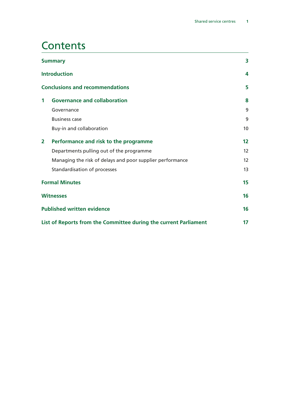### **Contents**

| <b>Summary</b>                                                   |                                                               | 3                 |
|------------------------------------------------------------------|---------------------------------------------------------------|-------------------|
|                                                                  | <b>Introduction</b><br><b>Conclusions and recommendations</b> |                   |
|                                                                  |                                                               |                   |
| 1                                                                | <b>Governance and collaboration</b>                           | 8                 |
|                                                                  | Governance                                                    | 9                 |
|                                                                  | <b>Business case</b>                                          | 9                 |
|                                                                  | Buy-in and collaboration                                      | 10 <sup>1</sup>   |
| $\mathbf{2}$                                                     | Performance and risk to the programme                         | $12 \overline{ }$ |
|                                                                  | Departments pulling out of the programme                      | 12                |
|                                                                  | Managing the risk of delays and poor supplier performance     | 12                |
|                                                                  | Standardisation of processes                                  | 13                |
| <b>Formal Minutes</b>                                            |                                                               | 15                |
| <b>Witnesses</b>                                                 |                                                               | 16                |
| <b>Published written evidence</b>                                |                                                               | 16                |
| List of Reports from the Committee during the current Parliament |                                                               |                   |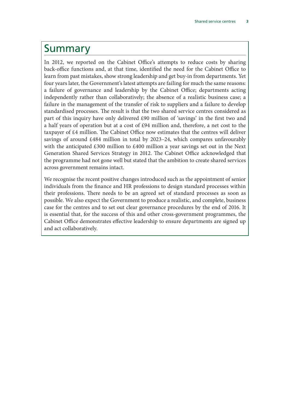### <span id="page-4-0"></span>Summary

In 2012, we reported on the Cabinet Office's attempts to reduce costs by sharing back-office functions and, at that time, identified the need for the Cabinet Office to learn from past mistakes, show strong leadership and get buy-in from departments. Yet four years later, the Government's latest attempts are failing for much the same reasons: a failure of governance and leadership by the Cabinet Office; departments acting independently rather than collaboratively; the absence of a realistic business case; a failure in the management of the transfer of risk to suppliers and a failure to develop standardised processes. The result is that the two shared service centres considered as part of this inquiry have only delivered £90 million of 'savings' in the first two and a half years of operation but at a cost of £94 million and, therefore, a net cost to the taxpayer of £4 million. The Cabinet Office now estimates that the centres will deliver savings of around £484 million in total by 2023–24, which compares unfavourably with the anticipated £300 million to £400 million a year savings set out in the Next Generation Shared Services Strategy in 2012. The Cabinet Office acknowledged that the programme had not gone well but stated that the ambition to create shared services across government remains intact.

We recognise the recent positive changes introduced such as the appointment of senior individuals from the finance and HR professions to design standard processes within their professions. There needs to be an agreed set of standard processes as soon as possible. We also expect the Government to produce a realistic, and complete, business case for the centres and to set out clear governance procedures by the end of 2016. It is essential that, for the success of this and other cross-government programmes, the Cabinet Office demonstrates effective leadership to ensure departments are signed up and act collaboratively.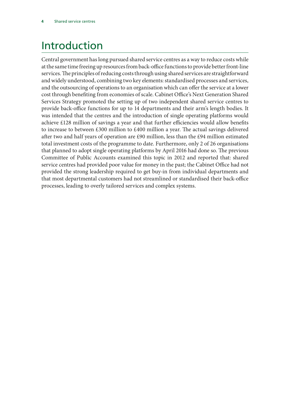# <span id="page-5-0"></span>Introduction

Central government has long pursued shared service centres as a way to reduce costs while at the same time freeing up resources from back-office functions to provide better front-line services. The principles of reducing costs through using shared services are straightforward and widely understood, combining two key elements: standardised processes and services, and the outsourcing of operations to an organisation which can offer the service at a lower cost through benefiting from economies of scale. Cabinet Office's Next Generation Shared Services Strategy promoted the setting up of two independent shared service centres to provide back-office functions for up to 14 departments and their arm's length bodies. It was intended that the centres and the introduction of single operating platforms would achieve £128 million of savings a year and that further efficiencies would allow benefits to increase to between £300 million to £400 million a year. The actual savings delivered after two and half years of operation are £90 million, less than the £94 million estimated total investment costs of the programme to date. Furthermore, only 2 of 26 organisations that planned to adopt single operating platforms by April 2016 had done so. The previous Committee of Public Accounts examined this topic in 2012 and reported that: shared service centres had provided poor value for money in the past; the Cabinet Office had not provided the strong leadership required to get buy-in from individual departments and that most departmental customers had not streamlined or standardised their back-office processes, leading to overly tailored services and complex systems.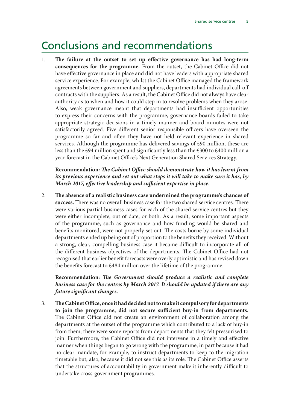### <span id="page-6-0"></span>Conclusions and recommendations

1. **The failure at the outset to set up effective governance has had long-term consequences for the programme.** From the outset, the Cabinet Office did not have effective governance in place and did not have leaders with appropriate shared service experience. For example, whilst the Cabinet Office managed the framework agreements between government and suppliers, departments had individual call-off contracts with the suppliers. As a result, the Cabinet Office did not always have clear authority as to when and how it could step in to resolve problems when they arose. Also, weak governance meant that departments had insufficient opportunities to express their concerns with the programme, governance boards failed to take appropriate strategic decisions in a timely manner and board minutes were not satisfactorily agreed. Five different senior responsible officers have overseen the programme so far and often they have not held relevant experience in shared services. Although the programme has delivered savings of £90 million, these are less than the £94 million spent and significantly less than the £300 to £400 million a year forecast in the Cabinet Office's Next Generation Shared Services Strategy.

**Recommendation:** *The Cabinet Office should demonstrate how it has learnt from its previous experience and set out what steps it will take to make sure it has, by March 2017, effective leadership and sufficient expertise in place.*

2. **The absence of a realistic business case undermined the programme's chances of success.** There was no overall business case for the two shared service centres. There were various partial business cases for each of the shared service centres but they were either incomplete, out of date, or both. As a result, some important aspects of the programme, such as governance and how funding would be shared and benefits monitored, were not properly set out. The costs borne by some individual departments ended up being out of proportion to the benefits they received. Without a strong, clear, compelling business case it became difficult to incorporate all of the different business objectives of the departments. The Cabinet Office had not recognised that earlier benefit forecasts were overly optimistic and has revised down the benefits forecast to £484 million over the lifetime of the programme.

**Recommendation:** *The Government should produce a realistic and complete business case for the centres by March 2017. It should be updated if there are any future significant changes.*

3. **The Cabinet Office, once it had decided not to make it compulsory for departments to join the programme, did not secure sufficient buy-in from departments.** The Cabinet Office did not create an environment of collaboration among the departments at the outset of the programme which contributed to a lack of buy-in from them; there were some reports from departments that they felt pressurised to join. Furthermore, the Cabinet Office did not intervene in a timely and effective manner when things began to go wrong with the programme, in part because it had no clear mandate, for example, to instruct departments to keep to the migration timetable but, also, because it did not see this as its role. The Cabinet Office asserts that the structures of accountability in government make it inherently difficult to undertake cross-government programmes.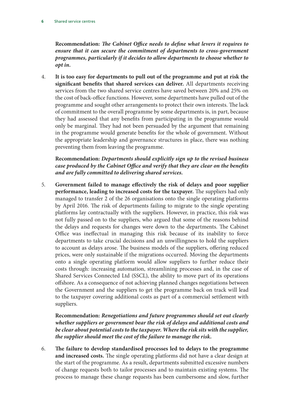**Recommendation:** *The Cabinet Office needs to define what levers it requires to ensure that it can secure the commitment of departments to cross-government programmes, particularly if it decides to allow departments to choose whether to opt in.*

4. **It is too easy for departments to pull out of the programme and put at risk the significant benefits that shared services can deliver.** All departments receiving services from the two shared service centres have saved between 20% and 25% on the cost of back-office functions. However, some departments have pulled out of the programme and sought other arrangements to protect their own interests. The lack of commitment to the overall programme by some departments is, in part, because they had assessed that any benefits from participating in the programme would only be marginal. They had not been persuaded by the argument that remaining in the programme would generate benefits for the whole of government. Without the appropriate leadership and governance structures in place, there was nothing preventing them from leaving the programme.

**Recommendation:** *Departments should explicitly sign up to the revised business case produced by the Cabinet Office and verify that they are clear on the benefits and are fully committed to delivering shared services.*

5. **Government failed to manage effectively the risk of delays and poor supplier performance, leading to increased costs for the taxpayer.** The suppliers had only managed to transfer 2 of the 26 organisations onto the single operating platforms by April 2016. The risk of departments failing to migrate to the single operating platforms lay contractually with the suppliers. However, in practice, this risk was not fully passed on to the suppliers, who argued that some of the reasons behind the delays and requests for changes were down to the departments. The Cabinet Office was ineffectual in managing this risk because of its inability to force departments to take crucial decisions and an unwillingness to hold the suppliers to account as delays arose. The business models of the suppliers, offering reduced prices, were only sustainable if the migrations occurred. Moving the departments onto a single operating platform would allow suppliers to further reduce their costs through: increasing automation, streamlining processes and, in the case of Shared Services Connected Ltd (SSCL), the ability to move part of its operations offshore. As a consequence of not achieving planned changes negotiations between the Government and the suppliers to get the programme back on track will lead to the taxpayer covering additional costs as part of a commercial settlement with suppliers.

**Recommendation:** *Renegotiations and future programmes should set out clearly whether suppliers or government bear the risk of delays and additional costs and be clear about potential costs to the taxpayer. Where the risk sits with the supplier, the supplier should meet the cost of the failure to manage the risk.*

6. **The failure to develop standardised processes led to delays to the programme and increased costs.** The single operating platforms did not have a clear design at the start of the programme. As a result, departments submitted excessive numbers of change requests both to tailor processes and to maintain existing systems. The process to manage these change requests has been cumbersome and slow, further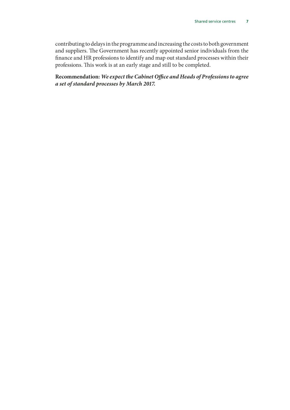contributing to delays in the programme and increasing the costs to both government and suppliers. The Government has recently appointed senior individuals from the finance and HR professions to identify and map out standard processes within their professions. This work is at an early stage and still to be completed.

**Recommendation:** *We expect the Cabinet Office and Heads of Professions to agree a set of standard processes by March 2017.*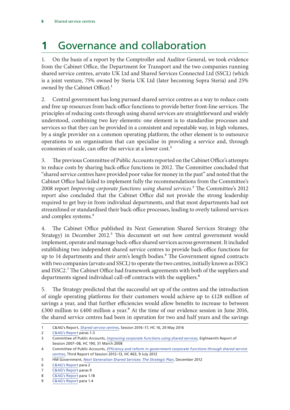# <span id="page-9-0"></span>**1** Governance and collaboration

1. On the basis of a report by the Comptroller and Auditor General, we took evidence from the Cabinet Office, the Department for Transport and the two companies running shared service centres, arvato UK Ltd and Shared Services Connected Ltd (SSCL) (which is a joint venture, 75% owned by Steria UK Ltd (later becoming Sopra Steria) and 25% owned by the Cabinet Office).<sup>1</sup>

2. Central government has long pursued shared service centres as a way to reduce costs and free up resources from back-office functions to provide better front-line services. The principles of reducing costs through using shared services are straightforward and widely understood, combining two key elements: one element is to standardise processes and services so that they can be provided in a consistent and repeatable way, in high volumes, by a single provider on a common operating platform; the other element is to outsource operations to an organisation that can specialise in providing a service and, through economies of scale, can offer the service at a lower cost.<sup>2</sup>

3. The previous Committee of Public Accounts reported on the Cabinet Office's attempts to reduce costs by sharing back-office functions in 2012. The Committee concluded that "shared service centres have provided poor value for money in the past" and noted that the Cabinet Office had failed to implement fully the recommendations from the Committee's 2008 report *Improving corporate functions using shared services*.3 The Committee's 2012 report also concluded that the Cabinet Office did not provide the strong leadership required to get buy-in from individual departments, and that most departments had not streamlined or standardised their back-office processes, leading to overly tailored services and complex systems.<sup>4</sup>

4. The Cabinet Office published its Next Generation Shared Services Strategy (the Strategy) in December 2012.<sup>5</sup> This document set out how central government would implement, operate and manage back-office shared services across government. It included establishing two independent shared service centres to provide back-office functions for up to 14 departments and their arm's length bodies.<sup>6</sup> The Government signed contracts with two companies (arvato and SSCL) to operate the two centres, initially known as ISSC1 and ISSC2.<sup>7</sup> The Cabinet Office had framework agreements with both of the suppliers and departments signed individual call-off contracts with the suppliers.<sup>8</sup>

5. The Strategy predicted that the successful set up of the centres and the introduction of single operating platforms for their customers would achieve up to £128 million of savings a year, and that further efficiencies would allow benefits to increase to between  $£300$  million to  $£400$  million a year.<sup>9</sup> At the time of our evidence session in June 2016, the shared service centres had been in operation for two and half years and the savings

<sup>1</sup> C&AG's Report, *[Shared service centres](https://www.nao.org.uk/wp-content/uploads/2016/05/Shared-services-centres.pdf)*, Session 2016–17, HC 16, 20 May 2016

<sup>2</sup> [C&AG's Report](https://www.nao.org.uk/wp-content/uploads/2016/05/Shared-services-centres.pdf) paras 1-3

<sup>3</sup> Committee of Public Accounts, *[Improving corporate functions using shared services](http://www.publications.parliament.uk/pa/cm200708/cmselect/cmpubacc/190/190.pdf)*, Eighteenth Report of Session 2007–08, HC 190, 31 March 2008

<sup>4</sup> Committee of Public Accounts, *[Efficiency and reform in government corporate functions through shared service](http://www.publications.parliament.uk/pa/cm201213/cmselect/cmpubacc/463/463.pdf)  [centres](http://www.publications.parliament.uk/pa/cm201213/cmselect/cmpubacc/463/463.pdf)*, Third Report of Session 2012–13, HC 463, 9 July 2012

<sup>5</sup> HM Government, *[Next Generation Shared Services: The Strategic Plan](https://www.gov.uk/government/uploads/system/uploads/attachment_data/file/83717/19284_Next_Generation_3rd_Online.pdf)*, December 2012

<sup>6</sup> [C&AG's Report](https://www.nao.org.uk/wp-content/uploads/2016/05/Shared-services-centres.pdf) para 2

<sup>7</sup> [C&AG's Report](https://www.nao.org.uk/wp-content/uploads/2016/05/Shared-services-centres.pdf) paras 9

<sup>8</sup> [C&AG's Report](https://www.nao.org.uk/wp-content/uploads/2016/05/Shared-services-centres.pdf) para 1.18

<sup>9</sup> [C&AG's Report](https://www.nao.org.uk/wp-content/uploads/2016/05/Shared-services-centres.pdf) para 1.4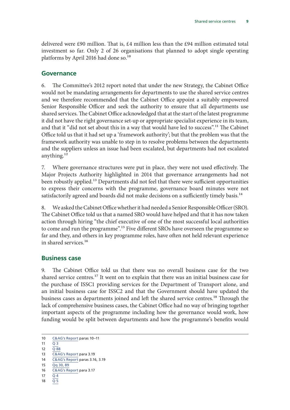<span id="page-10-0"></span>delivered were £90 million. That is, £4 million less than the £94 million estimated total investment so far. Only 2 of 26 organisations that planned to adopt single operating platforms by April 2016 had done so.<sup>10</sup>

#### **Governance**

6. The Committee's 2012 report noted that under the new Strategy, the Cabinet Office would not be mandating arrangements for departments to use the shared service centres and we therefore recommended that the Cabinet Office appoint a suitably empowered Senior Responsible Officer and seek the authority to ensure that all departments use shared services. The Cabinet Office acknowledged that at the start of the latest programme it did not have the right governance set-up or appropriate specialist experience in its team, and that it "did not set about this in a way that would have led to success".<sup>11</sup> The Cabinet Office told us that it had set up a 'framework authority'; but that the problem was that the framework authority was unable to step in to resolve problems between the departments and the suppliers unless an issue had been escalated, but departments had not escalated anything.<sup>12</sup>

7. Where governance structures were put in place, they were not used effectively. The Major Projects Authority highlighted in 2014 that governance arrangements had not been robustly applied.<sup>13</sup> Departments did not feel that there were sufficient opportunities to express their concerns with the programme, governance board minutes were not satisfactorily agreed and boards did not make decisions on a sufficiently timely basis.<sup>14</sup>

8. We asked the Cabinet Office whether it had needed a Senior Responsible Officer (SRO). The Cabinet Office told us that a named SRO would have helped and that it has now taken action through hiring "the chief executive of one of the most successful local authorities to come and run the programme".<sup>15</sup> Five different SROs have overseen the programme so far and they, and others in key programme roles, have often not held relevant experience in shared services.<sup>16</sup>

#### **Business case**

9. The Cabinet Office told us that there was no overall business case for the two shared service centres.17 It went on to explain that there was an initial business case for the purchase of ISSC1 providing services for the Department of Transport alone, and an initial business case for ISSC2 and that the Government should have updated the business cases as departments joined and left the shared service centres.<sup>18</sup> Through the lack of comprehensive business cases, the Cabinet Office had no way of bringing together important aspects of the programme including how the governance would work, how funding would be split between departments and how the programme's benefits would

18  $\overline{Q}$  $\overline{Q}$  $\overline{Q}$  5

<sup>10</sup> [C&AG's Report](https://www.nao.org.uk/wp-content/uploads/2016/05/Shared-services-centres.pdf) paras 10–11

<sup>11</sup> O 3

 $12 \overline{0.88}$  $12 \overline{0.88}$  $12 \overline{0.88}$ 

<sup>13</sup> [C&AG's Report](https://www.nao.org.uk/wp-content/uploads/2016/05/Shared-services-centres.pdf) para 3.19

<sup>14</sup> [C&AG's Report](https://www.nao.org.uk/wp-content/uploads/2016/05/Shared-services-centres.pdf) paras 3.16, 3.19

 $15 \overline{O}$  $\sigma$  [30, 89](http://data.parliament.uk/writtenevidence/committeeevidence.svc/evidencedocument/public-accounts-committee/shared-services-centres/oral/34852.pdf)

<sup>16</sup> [C&AG's Report](https://www.nao.org.uk/wp-content/uploads/2016/05/Shared-services-centres.pdf) para 3.17

<sup>17</sup> [Q](http://data.parliament.uk/writtenevidence/committeeevidence.svc/evidencedocument/public-accounts-committee/shared-services-centres/oral/34852.pdf) 4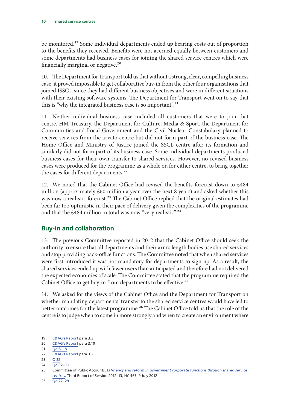<span id="page-11-0"></span>be monitored.<sup>19</sup> Some individual departments ended up bearing costs out of proportion to the benefits they received. Benefits were not accrued equally between customers and some departments had business cases for joining the shared service centres which were financially marginal or negative.20

10. The Department for Transport told us that without a strong, clear, compelling business case, it proved impossible to get collaborative buy-in from the other four organisations that joined ISSC1, since they had different business objectives and were in different situations with their existing software systems. The Department for Transport went on to say that this is "why the integrated business case is so important".<sup>21</sup>

11. Neither individual business case included all customers that were to join that centre. HM Treasury, the Department for Culture, Media & Sport, the Department for Communities and Local Government and the Civil Nuclear Constabulary planned to receive services from the arvato centre but did not form part of the business case. The Home Office and Ministry of Justice joined the SSCL centre after its formation and similarly did not form part of its business case. Some individual departments produced business cases for their own transfer to shared services. However, no revised business cases were produced for the programme as a whole or, for either centre, to bring together the cases for different departments.<sup>22</sup>

12. We noted that the Cabinet Office had revised the benefits forecast down to £484 million (approximately £60 million a year over the next 8 years) and asked whether this was now a realistic forecast.<sup>23</sup> The Cabinet Office replied that the original estimates had been far too optimistic in their pace of delivery given the complexities of the programme and that the £484 million in total was now "very realistic".<sup>24</sup>

### **Buy-in and collaboration**

13. The previous Committee reported in 2012 that the Cabinet Office should seek the authority to ensure that all departments and their arm's length bodies use shared services and stop providing back-office functions. The Committee noted that when shared services were first introduced it was not mandatory for departments to sign up. As a result, the shared services ended up with fewer users than anticipated and therefore had not delivered the expected economies of scale. The Committee stated that the programme required the Cabinet Office to get buy-in from departments to be effective.<sup>25</sup>

14. We asked for the views of the Cabinet Office and the Department for Transport on whether mandating departments' transfer to the shared service centres would have led to better outcomes for the latest programme.<sup>26</sup> The Cabinet Office told us that the role of the centre is to judge when to come in more strongly and when to create an environment where

<sup>19</sup> [C&AG's Report](https://www.nao.org.uk/wp-content/uploads/2016/05/Shared-services-centres.pdf) para 3.3

<sup>20</sup> [C&AG's Report](https://www.nao.org.uk/wp-content/uploads/2016/05/Shared-services-centres.pdf) para 3.10

<sup>21</sup> Qq [8, 18](http://data.parliament.uk/writtenevidence/committeeevidence.svc/evidencedocument/public-accounts-committee/shared-services-centres/oral/34852.pdf)

<sup>22</sup> [C&AG's Report](https://www.nao.org.uk/wp-content/uploads/2016/05/Shared-services-centres.pdf) para 3.2

<sup>23</sup>  $\overline{Q}$  [32](http://data.parliament.uk/writtenevidence/committeeevidence.svc/evidencedocument/public-accounts-committee/shared-services-centres/oral/34852.pdf)

<sup>24</sup> Qq [32–33](http://data.parliament.uk/writtenevidence/committeeevidence.svc/evidencedocument/public-accounts-committee/shared-services-centres/oral/34852.pdf)

<sup>25</sup> Committee of Public Accounts, *[Efficiency and reform in government corporate functions through shared service](http://www.publications.parliament.uk/pa/cm201213/cmselect/cmpubacc/463/463.pdf)  [centres](http://www.publications.parliament.uk/pa/cm201213/cmselect/cmpubacc/463/463.pdf)*, Third Report of Session 2012–13, HC 463, 9 July 2012

<sup>26</sup> Qq [22, 29](http://data.parliament.uk/writtenevidence/committeeevidence.svc/evidencedocument/public-accounts-committee/shared-services-centres/oral/34852.pdf)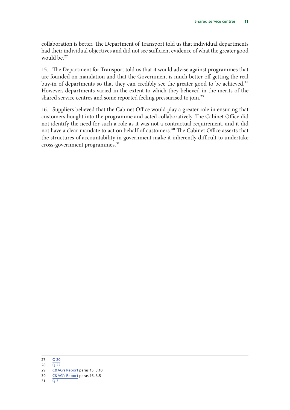collaboration is better. The Department of Transport told us that individual departments had their individual objectives and did not see sufficient evidence of what the greater good would be.<sup>27</sup>

15. The Department for Transport told us that it would advise against programmes that are founded on mandation and that the Government is much better off getting the real buy-in of departments so that they can credibly see the greater good to be achieved.<sup>28</sup> However, departments varied in the extent to which they believed in the merits of the shared service centres and some reported feeling pressurised to join.<sup>29</sup>

16. Suppliers believed that the Cabinet Office would play a greater role in ensuring that customers bought into the programme and acted collaboratively. The Cabinet Office did not identify the need for such a role as it was not a contractual requirement, and it did not have a clear mandate to act on behalf of customers.<sup>30</sup> The Cabinet Office asserts that the structures of accountability in government make it inherently difficult to undertake cross-government programmes.<sup>31</sup>

<sup>27</sup> Q [20](http://data.parliament.uk/writtenevidence/committeeevidence.svc/evidencedocument/public-accounts-committee/shared-services-centres/oral/34852.pdf)

<sup>28</sup>  $\overline{Q}$  [22](http://data.parliament.uk/writtenevidence/committeeevidence.svc/evidencedocument/public-accounts-committee/shared-services-centres/oral/34852.pdf)

<sup>29</sup> [C&AG's Report](https://www.nao.org.uk/wp-content/uploads/2016/05/Shared-services-centres.pdf) paras 15, 3.10

<sup>30</sup> [C&AG's Report](https://www.nao.org.uk/wp-content/uploads/2016/05/Shared-services-centres.pdf) paras 16, 3.5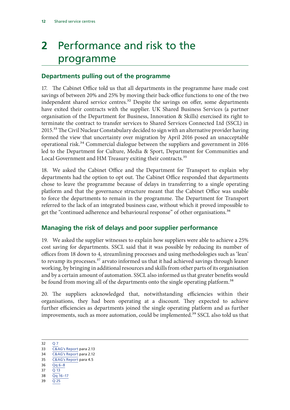# <span id="page-13-0"></span>**2** Performance and risk to the programme

### **Departments pulling out of the programme**

17. The Cabinet Office told us that all departments in the programme have made cost savings of between 20% and 25% by moving their back-office functions to one of the two independent shared service centres.<sup>32</sup> Despite the savings on offer, some departments have exited their contracts with the supplier. UK Shared Business Services (a partner organisation of the Department for Business, Innovation & Skills) exercised its right to terminate the contract to transfer services to Shared Services Connected Ltd (SSCL) in 2015.<sup>33</sup> The Civil Nuclear Constabulary decided to sign with an alternative provider having formed the view that uncertainty over migration by April 2016 posed an unacceptable operational risk.<sup>34</sup> Commercial dialogue between the suppliers and government in 2016 led to the Department for Culture, Media & Sport, Department for Communities and Local Government and HM Treasury exiting their contracts.<sup>35</sup>

18. We asked the Cabinet Office and the Department for Transport to explain why departments had the option to opt out. The Cabinet Office responded that departments chose to leave the programme because of delays in transferring to a single operating platform and that the governance structure meant that the Cabinet Office was unable to force the departments to remain in the programme. The Department for Transport referred to the lack of an integrated business case, without which it proved impossible to get the "continued adherence and behavioural response" of other organisations.<sup>36</sup>

### **Managing the risk of delays and poor supplier performance**

19. We asked the supplier witnesses to explain how suppliers were able to achieve a 25% cost saving for departments. SSCL said that it was possible by reducing its number of offices from 18 down to 4, streamlining processes and using methodologies such as 'lean' to revamp its processes.<sup>37</sup> arvato informed us that it had achieved savings through leaner working, by bringing in additional resources and skills from other parts of its organisation and by a certain amount of automation. SSCL also informed us that greater benefits would be found from moving all of the departments onto the single operating platform.<sup>38</sup>

20. The suppliers acknowledged that, notwithstanding efficiencies within their organisations, they had been operating at a discount. They expected to achieve further efficiencies as departments joined the single operating platform and as further improvements, such as more automation, could be implemented.<sup>39</sup> SSCL also told us that

- 37 Q [13](http://data.parliament.uk/writtenevidence/committeeevidence.svc/evidencedocument/public-accounts-committee/shared-services-centres/oral/34852.pdf)
- 38 Qq [16–17](http://data.parliament.uk/writtenevidence/committeeevidence.svc/evidencedocument/public-accounts-committee/shared-services-centres/oral/34852.pdf)
- 39 Q [25](http://data.parliament.uk/writtenevidence/committeeevidence.svc/evidencedocument/public-accounts-committee/shared-services-centres/oral/34852.pdf)

<sup>32</sup> [Q](http://data.parliament.uk/writtenevidence/committeeevidence.svc/evidencedocument/public-accounts-committee/shared-services-centres/oral/34852.pdf) 7

<sup>33</sup> [C&AG's Report](https://www.nao.org.uk/wp-content/uploads/2016/05/Shared-services-centres.pdf) para 2.13

<sup>34</sup> [C&AG's Report](https://www.nao.org.uk/wp-content/uploads/2016/05/Shared-services-centres.pdf) para 2.12 35 [C&AG's Report](https://www.nao.org.uk/wp-content/uploads/2016/05/Shared-services-centres.pdf) para 4.5

<sup>36</sup> Qq [6–8](http://data.parliament.uk/writtenevidence/committeeevidence.svc/evidencedocument/public-accounts-committee/shared-services-centres/oral/34852.pdf)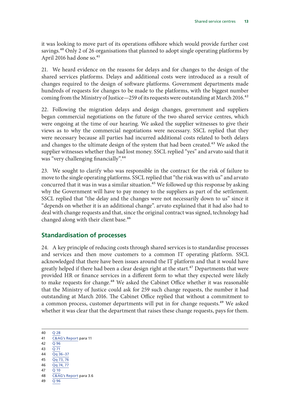<span id="page-14-0"></span>it was looking to move part of its operations offshore which would provide further cost savings.40 Only 2 of 26 organisations that planned to adopt single operating platforms by April 2016 had done so.<sup>41</sup>

21. We heard evidence on the reasons for delays and for changes to the design of the shared services platforms. Delays and additional costs were introduced as a result of changes required to the design of software platforms. Government departments made hundreds of requests for changes to be made to the platforms, with the biggest number coming from the Ministry of Justice—259 of its requests were outstanding at March 2016.<sup>42</sup>

22. Following the migration delays and design changes, government and suppliers began commercial negotiations on the future of the two shared service centres, which were ongoing at the time of our hearing. We asked the supplier witnesses to give their views as to why the commercial negotiations were necessary. SSCL replied that they were necessary because all parties had incurred additional costs related to both delays and changes to the ultimate design of the system that had been created.<sup>43</sup> We asked the supplier witnesses whether thay had lost money. SSCL replied "yes" and arvato said that it was "very challenging financially".<sup>44</sup>

23. We sought to clarify who was responsible in the contract for the risk of failure to move to the single operating platforms. SSCL replied that "the risk was with us" and arvato concurred that it was in was a similar situation.<sup>45</sup> We followed up this response by asking why the Government will have to pay money to the suppliers as part of the settlement. SSCL replied that "the delay and the changes were not necessarily down to us" since it "depends on whether it is an additional change". arvato explained that it had also had to deal with change requests and that, since the original contract was signed, technology had changed along with their client base.<sup>46</sup>

### **Standardisation of processes**

24. A key principle of reducing costs through shared services is to standardise processes and services and then move customers to a common IT operating platform. SSCL acknowledged that there have been issues around the IT platform and that it would have greatly helped if there had been a clear design right at the start.<sup>47</sup> Departments that were provided HR or finance services in a different form to what they expected were likely to make requests for change.<sup>48</sup> We asked the Cabinet Office whether it was reasonable that the Ministry of Justice could ask for 259 such change requests, the number it had outstanding at March 2016. The Cabinet Office replied that without a commitment to a common process, customer departments will put in for change requests.<sup>49</sup> We asked whether it was clear that the department that raises these change requests, pays for them.

- 42 Q [96](http://data.parliament.uk/writtenevidence/committeeevidence.svc/evidencedocument/public-accounts-committee/shared-services-centres/oral/34852.pdf)
- 43  $\overline{O}$  [71](http://data.parliament.uk/writtenevidence/committeeevidence.svc/evidencedocument/public-accounts-committee/shared-services-centres/oral/34852.pdf)
- 44 Qq [36–37](http://data.parliament.uk/writtenevidence/committeeevidence.svc/evidencedocument/public-accounts-committee/shared-services-centres/oral/34852.pdf) 45 Qq [73, 76](http://data.parliament.uk/writtenevidence/committeeevidence.svc/evidencedocument/public-accounts-committee/shared-services-centres/oral/34852.pdf)
- 46 Qq [74, 77](http://data.parliament.uk/writtenevidence/committeeevidence.svc/evidencedocument/public-accounts-committee/shared-services-centres/oral/34852.pdf)
- 47 Q [10](http://data.parliament.uk/writtenevidence/committeeevidence.svc/evidencedocument/public-accounts-committee/shared-services-centres/oral/34852.pdf)
- 48 [C&AG's Report](https://www.nao.org.uk/wp-content/uploads/2016/05/Shared-services-centres.pdf) para 3.6

49 Q [96](http://data.parliament.uk/writtenevidence/committeeevidence.svc/evidencedocument/public-accounts-committee/shared-services-centres/oral/34852.pdf)

<sup>40</sup> Q [28](http://data.parliament.uk/writtenevidence/committeeevidence.svc/evidencedocument/public-accounts-committee/shared-services-centres/oral/34852.pdf)

<sup>41</sup> [C&AG's Report](https://www.nao.org.uk/wp-content/uploads/2016/05/Shared-services-centres.pdf) para 11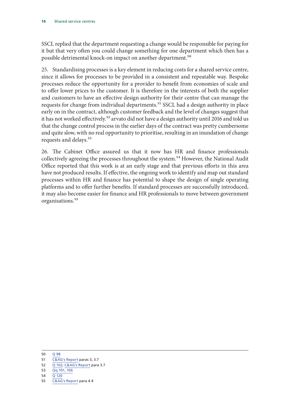SSCL replied that the department requesting a change would be responsible for paying for it but that very often you could change something for one department which then has a possible detrimental knock-on impact on another department.<sup>50</sup>

25. Standardising processes is a key element in reducing costs for a shared service centre, since it allows for processes to be provided in a consistent and repeatable way. Bespoke processes reduce the opportunity for a provider to benefit from economies of scale and to offer lower prices to the customer. It is therefore in the interests of both the supplier and customers to have an effective design authority for their centre that can manage the requests for change from individual departments.<sup>51</sup> SSCL had a design authority in place early on in the contract, although customer feedback and the level of changes suggest that it has not worked effectively.<sup>52</sup> arvato did not have a design authority until 2016 and told us that the change control process in the earlier days of the contract was pretty cumbersome and quite slow, with no real opportunity to prioritise, resulting in an inundation of change requests and delays.<sup>53</sup>

26. The Cabinet Office assured us that it now has HR and finance professionals collectively agreeing the processes throughout the system.<sup>54</sup> However, the National Audit Office reported that this work is at an early stage and that previous efforts in this area have not produced results. If effective, the ongoing work to identify and map out standard processes within HR and finance has potential to shape the design of single operating platforms and to offer further benefits. If standard processes are successfully introduced, it may also become easier for finance and HR professionals to move between government organisations.<sup>55</sup>

52 Q [102](http://data.parliament.uk/writtenevidence/committeeevidence.svc/evidencedocument/public-accounts-committee/shared-services-centres/oral/34852.pdf); [C&AG's Report](https://www.nao.org.uk/wp-content/uploads/2016/05/Shared-services-centres.pdf) para 3.7

<sup>50</sup> Q [98](http://data.parliament.uk/writtenevidence/committeeevidence.svc/evidencedocument/public-accounts-committee/shared-services-centres/oral/34852.pdf)

<sup>51</sup> [C&AG's Report](https://www.nao.org.uk/wp-content/uploads/2016/05/Shared-services-centres.pdf) paras 3, 3.7

<sup>53</sup> Qq [101, 106](http://data.parliament.uk/writtenevidence/committeeevidence.svc/evidencedocument/public-accounts-committee/shared-services-centres/oral/34852.pdf)

<sup>54</sup> Q [120](http://data.parliament.uk/writtenevidence/committeeevidence.svc/evidencedocument/public-accounts-committee/shared-services-centres/oral/34852.pdf)

<sup>55</sup> [C&AG's Report](https://www.nao.org.uk/wp-content/uploads/2016/05/Shared-services-centres.pdf) para 4.4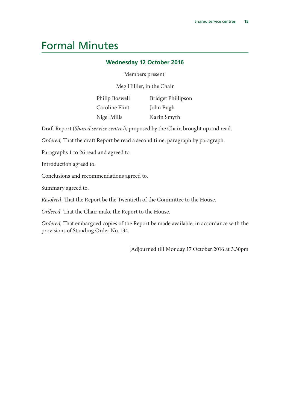## <span id="page-16-0"></span>Formal Minutes

#### **Wednesday 12 October 2016**

#### Members present:

Meg Hillier, in the Chair

| Philip Boswell | Bridget Phillipson |
|----------------|--------------------|
| Caroline Flint | John Pugh          |
| Nigel Mills    | Karin Smyth        |

Draft Report (*Shared service centres*), proposed by the Chair, brought up and read.

*Ordered,* That the draft Report be read a second time, paragraph by paragraph.

Paragraphs 1 to 26 read and agreed to.

Introduction agreed to.

Conclusions and recommendations agreed to.

Summary agreed to.

*Resolved,* That the Report be the Twentieth of the Committee to the House.

*Ordered,* That the Chair make the Report to the House.

*Ordered,* That embargoed copies of the Report be made available, in accordance with the provisions of Standing Order No. 134.

[Adjourned till Monday 17 October 2016 at 3.30pm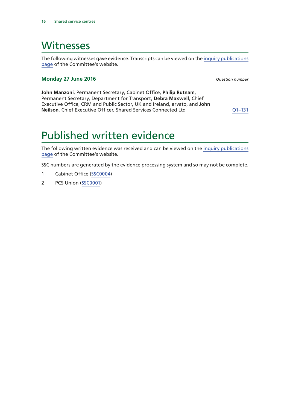### <span id="page-17-0"></span>Witnesses

The following witnesses gave evidence. Transcripts can be viewed on the [inquiry publications](https://www.parliament.uk/business/committees/committees-a-z/commons-select/public-accounts-committee/inquiries/parliament-2015/shared-service-centres-16-17/publications/?utm_source=297pdfreport&utm_medium=paraphrase&utm_campaign=pacoralev) [page](https://www.parliament.uk/business/committees/committees-a-z/commons-select/public-accounts-committee/inquiries/parliament-2015/shared-service-centres-16-17/publications/?utm_source=297pdfreport&utm_medium=paraphrase&utm_campaign=pacoralev) of the Committee's website.

#### **Monday 27 June 2016** *Question number*

**John Manzoni**, Permanent Secretary, Cabinet Office, **Philip Rutnam**, Permanent Secretary, Department for Transport, **Debra Maxwell**, Chief Executive Office, CRM and Public Sector, UK and Ireland, arvato, and **John Neilson**, Chief Executive Officer, Shared Services Connected Ltd Q1-131

## Published written evidence

The following written evidence was received and can be viewed on the [inquiry publications](https://www.parliament.uk/business/committees/committees-a-z/commons-select/public-accounts-committee/inquiries/parliament-2015/shared-service-centres-16-17/publications/?utm_source=297pdfreport&utm_medium=paraphrase&utm_campaign=pacoralev) [page](https://www.parliament.uk/business/committees/committees-a-z/commons-select/public-accounts-committee/inquiries/parliament-2015/shared-service-centres-16-17/publications/?utm_source=297pdfreport&utm_medium=paraphrase&utm_campaign=pacoralev) of the Committee's website.

SSC numbers are generated by the evidence processing system and so may not be complete.

- 1 Cabinet Office ([SSC0004\)](http://data.parliament.uk/WrittenEvidence/CommitteeEvidence.svc/EvidenceDocument/Public%20Accounts/Shared%20services%20centres/written/35258.html)
- 2 PCS Union ([SSC0001\)](http://data.parliament.uk/WrittenEvidence/CommitteeEvidence.svc/EvidenceDocument/Public%20Accounts/Shared%20services%20centres/written/34496.html)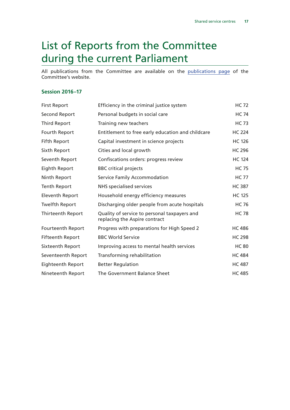# <span id="page-18-0"></span>List of Reports from the Committee during the current Parliament

All publications from the Committee are available on the [publications page](https://www.parliament.uk/business/committees/committees-a-z/commons-select/public-accounts-committee/publications/) of the Committee's website.

#### **Session 2016–17**

| <b>First Report</b>     | Efficiency in the criminal justice system                                     | <b>HC 72</b>  |
|-------------------------|-------------------------------------------------------------------------------|---------------|
| <b>Second Report</b>    | Personal budgets in social care                                               | <b>HC 74</b>  |
| <b>Third Report</b>     | Training new teachers                                                         | <b>HC 73</b>  |
| Fourth Report           | Entitlement to free early education and childcare                             | <b>HC 224</b> |
| <b>Fifth Report</b>     | Capital investment in science projects                                        | <b>HC 126</b> |
| Sixth Report            | Cities and local growth                                                       | <b>HC 296</b> |
| Seventh Report          | Confiscations orders: progress review                                         | <b>HC 124</b> |
| Eighth Report           | <b>BBC</b> critical projects                                                  | <b>HC 75</b>  |
| Ninth Report            | Service Family Accommodation                                                  | <b>HC 77</b>  |
| <b>Tenth Report</b>     | <b>NHS</b> specialised services                                               | <b>HC 387</b> |
| <b>Eleventh Report</b>  | Household energy efficiency measures                                          | <b>HC 125</b> |
| <b>Twelfth Report</b>   | Discharging older people from acute hospitals                                 | <b>HC 76</b>  |
| Thirteenth Report       | Quality of service to personal taxpayers and<br>replacing the Aspire contract | <b>HC 78</b>  |
| Fourteenth Report       | Progress with preparations for High Speed 2                                   | <b>HC 486</b> |
| <b>Fifteenth Report</b> | <b>BBC World Service</b>                                                      | <b>HC 298</b> |
| Sixteenth Report        | Improving access to mental health services                                    | <b>HC 80</b>  |
| Seventeenth Report      | Transforming rehabilitation                                                   | <b>HC 484</b> |
| Eighteenth Report       | <b>Better Regulation</b>                                                      | <b>HC 487</b> |
| Nineteenth Report       | The Government Balance Sheet                                                  | <b>HC 485</b> |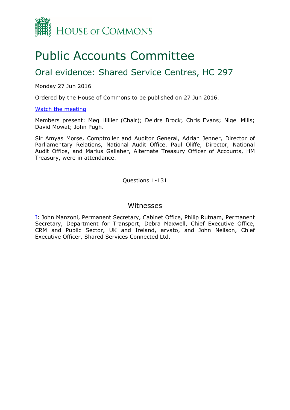

# Public Accounts Committee

### Oral evidence: Shared Service Centres, HC 297

Monday 27 Jun 2016

Ordered by the House of Commons to be published on 27 Jun 2016.

#### [Watch](http://www.parliamentlive.tv/Event/Index/fa293264-8d86-4972-8784-9803c03e88ad) [the](http://www.parliamentlive.tv/Event/Index/fa293264-8d86-4972-8784-9803c03e88ad) [meeting](http://www.parliamentlive.tv/Event/Index/fa293264-8d86-4972-8784-9803c03e88ad)

Members present: Meg Hillier (Chair); Deidre Brock; Chris Evans; Nigel Mills; David Mowat; John Pugh.

Sir Amyas Morse, Comptroller and Auditor General, Adrian Jenner, Director of Parliamentary Relations, National Audit Office, Paul Oliffe, Director, National Audit Office, and Marius Gallaher, Alternate Treasury Officer of Accounts, HM Treasury, were in attendance.

Questions 1-131

### Witnesses

[I:](#page-20-0) John Manzoni, Permanent Secretary, Cabinet Office, Philip Rutnam, Permanent Secretary, Department for Transport, Debra Maxwell, Chief Executive Office, CRM and Public Sector, UK and Ireland, arvato, and John Neilson, Chief Executive Officer, Shared Services Connected Ltd.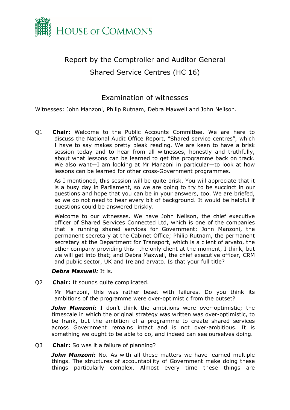

### <span id="page-20-0"></span>Report by the Comptroller and Auditor General Shared Service Centres (HC 16)

### Examination of witnesses

Witnesses: John Manzoni, Philip Rutnam, Debra Maxwell and John Neilson.

Q1 **Chair:** Welcome to the Public Accounts Committee. We are here to discuss the National Audit Office Report, "Shared service centres", which I have to say makes pretty bleak reading. We are keen to have a brisk session today and to hear from all witnesses, honestly and truthfully, about what lessons can be learned to get the programme back on track. We also want—I am looking at Mr Manzoni in particular—to look at how lessons can be learned for other cross-Government programmes.

As I mentioned, this session will be quite brisk. You will appreciate that it is a busy day in Parliament, so we are going to try to be succinct in our questions and hope that you can be in your answers, too. We are briefed, so we do not need to hear every bit of background. It would be helpful if questions could be answered briskly.

Welcome to our witnesses. We have John Neilson, the chief executive officer of Shared Services Connected Ltd, which is one of the companies that is running shared services for Government; John Manzoni, the permanent secretary at the Cabinet Office; Philip Rutnam, the permanent secretary at the Department for Transport, which is a client of arvato, the other company providing this—the only client at the moment, I think, but we will get into that; and Debra Maxwell, the chief executive officer, CRM and public sector, UK and Ireland arvato. Is that your full title?

#### *Debra Maxwell:* It is.

Q2 **Chair:** It sounds quite complicated.

Mr Manzoni, this was rather beset with failures. Do you think its ambitions of the programme were over-optimistic from the outset?

*John Manzoni:* I don't think the ambitions were over-optimistic; the timescale in which the original strategy was written was over-optimistic, to be frank, but the ambition of a programme to create shared services across Government remains intact and is not over-ambitious. It is something we ought to be able to do, and indeed can see ourselves doing.

#### Q3 **Chair:** So was it a failure of planning?

*John Manzoni:* No. As with all these matters we have learned multiple things. The structures of accountability of Government make doing these things particularly complex. Almost every time these things are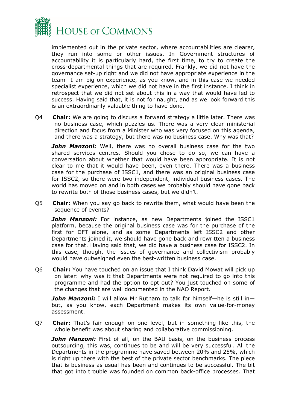

implemented out in the private sector, where accountabilities are clearer, they run into some or other issues. In Government structures of accountability it is particularly hard, the first time, to try to create the cross-departmental things that are required. Frankly, we did not have the governance set-up right and we did not have appropriate experience in the team—I am big on experience, as you know, and in this case we needed specialist experience, which we did not have in the first instance. I think in retrospect that we did not set about this in a way that would have led to success. Having said that, it is not for naught, and as we look forward this is an extraordinarily valuable thing to have done.

Q4 **Chair:** We are going to discuss a forward strategy a little later. There was no business case, which puzzles us. There was a very clear ministerial direction and focus from a Minister who was very focused on this agenda, and there was a strategy, but there was no business case. Why was that?

**John Manzoni:** Well, there was no overall business case for the two shared services centres. Should you chose to do so, we can have a conversation about whether that would have been appropriate. It is not clear to me that it would have been, even there. There was a business case for the purchase of ISSC1, and there was an original business case for ISSC2, so there were two independent, individual business cases. The world has moved on and in both cases we probably should have gone back to rewrite both of those business cases, but we didn't.

Q5 **Chair:** When you say go back to rewrite them, what would have been the sequence of events?

**John Manzoni:** For instance, as new Departments joined the ISSC1 platform, because the original business case was for the purchase of the first for DFT alone, and as some Departments left ISSC2 and other Departments joined it, we should have gone back and rewritten a business case for that. Having said that, we did have a business case for ISSC2. In this case, though, the issues of governance and collectivism probably would have outweighed even the best-written business case.

Q6 **Chair:** You have touched on an issue that I think David Mowat will pick up on later: why was it that Departments were not required to go into this programme and had the option to opt out? You just touched on some of the changes that are well documented in the NAO Report.

*John Manzoni:* I will allow Mr Rutnam to talk for himself—he is still in but, as you know, each Department makes its own value-for-money assessment.

Q7 **Chair:** That's fair enough on one level, but in something like this, the whole benefit was about sharing and collaborative commissioning.

**John Manzoni:** First of all, on the BAU basis, on the business process outsourcing, this was, continues to be and will be very successful. All the Departments in the programme have saved between 20% and 25%, which is right up there with the best of the private sector benchmarks. The piece that is business as usual has been and continues to be successful. The bit that got into trouble was founded on common back-office processes. That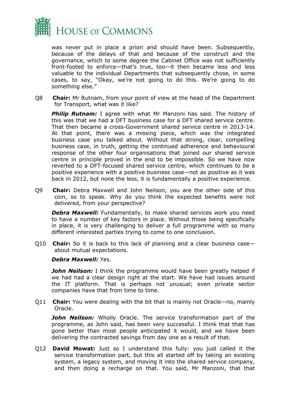

was never put in place a priori and should have been. Subsequently, because of the delays of that and because of the construct and the governance, which to some degree the Cabinet Office was not sufficiently front-footed to enforce—that's true, too—it then became less and less valuable to the individual Departments that subsequently chose, in some cases, to say, "Okay, we're not going to do this. We're going to do something else."

Q8 **Chair:** Mr Rutnam, from your point of view at the head of the Department for Transport, what was it like?

**Philip Rutnam:** I agree with what Mr Manzoni has said. The history of this was that we had a DFT business case for a DFT shared service centre. That then became a cross-Government shared service centre in 2013-14. At that point, there was a missing piece, which was the integrated business case you talked about. Without that strong, clear, compelling business case, in truth, getting the continued adherence and behavioural response of the other four organisations that joined our shared service centre in principle proved in the end to be impossible. So we have now reverted to a DFT-focused shared service centre, which continues to be a positive experience with a positive business case—not as positive as it was back in 2012, but none the less, it is fundamentally a positive experience.

Q9 **Chair:** Debra Maxwell and John Neilson, you are the other side of this coin, so to speak. Why do you think the expected benefits were not delivered, from your perspective?

*Debra Maxwell:* Fundamentally, to make shared services work you need to have a number of key factors in place. Without those being specifically in place, it is very challenging to deliver a full programme with so many different interested parties trying to come to one conclusion.

Q10 **Chair:** So it is back to this lack of planning and a clear business case about mutual expectations.

#### *Debra Maxwell:* Yes.

*John Neilson:* I think the programme would have been greatly helped if we had had a clear design right at the start. We have had issues around the IT platform. That is perhaps not unusual; even private sector companies have that from time to time.

Q11 **Chair:** You were dealing with the bit that is mainly not Oracle—no, mainly Oracle.

*John Neilson:* Wholly Oracle. The service transformation part of the programme, as John said, has been very successful. I think that that has gone better than most people anticipated it would, and we have been delivering the contracted savings from day one as a result of that.

Q12 **David Mowat:** Just so I understand this fully: you just called it the service transformation part, but this all started off by taking an existing system, a legacy system, and moving it into the shared service company, and then doing a recharge on that. You said, Mr Manzoni, that that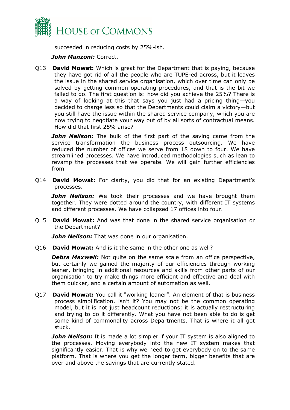

succeeded in reducing costs by 25%-ish.

#### *John Manzoni:* Correct.

Q13 **David Mowat:** Which is great for the Department that is paying, because they have got rid of all the people who are TUPE-ed across, but it leaves the issue in the shared service organisation, which over time can only be solved by getting common operating procedures, and that is the bit we failed to do. The first question is: how did you achieve the 25%? There is a way of looking at this that says you just had a pricing thing—you decided to charge less so that the Departments could claim a victory—but you still have the issue within the shared service company, which you are now trying to negotiate your way out of by all sorts of contractual means. How did that first 25% arise?

*John Neilson:* The bulk of the first part of the saving came from the service transformation—the business process outsourcing. We have reduced the number of offices we serve from 18 down to four. We have streamlined processes. We have introduced methodologies such as lean to revamp the processes that we operate. We will gain further efficiencies from—

Q14 **David Mowat:** For clarity, you did that for an existing Department's processes.

*John Neilson:* We took their processes and we have brought them together. They were dotted around the country, with different IT systems and different processes. We have collapsed 17 offices into four.

Q15 **David Mowat:** And was that done in the shared service organisation or the Department?

*John Neilson:* That was done in our organisation.

Q16 **David Mowat:** And is it the same in the other one as well?

**Debra Maxwell:** Not quite on the same scale from an office perspective, but certainly we gained the majority of our efficiencies through working leaner, bringing in additional resources and skills from other parts of our organisation to try make things more efficient and effective and deal with them quicker, and a certain amount of automation as well.

Q17 **David Mowat:** You call it "working leaner". An element of that is business process simplification, isn't it? You may not be the common operating model, but it is not just headcount reductions; it is actually restructuring and trying to do it differently. What you have not been able to do is get some kind of commonality across Departments. That is where it all got stuck.

**John Neilson:** It is made a lot simpler if your IT system is also aligned to the processes. Moving everybody into the new IT system makes that significantly easier. That is why we need to get everybody on to the same platform. That is where you get the longer term, bigger benefits that are over and above the savings that are currently stated.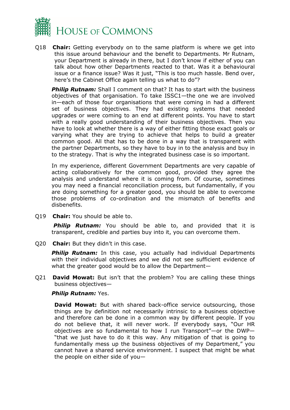

Q18 **Chair:** Getting everybody on to the same platform is where we get into this issue around behaviour and the benefit to Departments. Mr Rutnam, your Department is already in there, but I don't know if either of you can talk about how other Departments reacted to that. Was it a behavioural issue or a finance issue? Was it just, "This is too much hassle. Bend over, here's the Cabinet Office again telling us what to do"?

**Philip Rutnam:** Shall I comment on that? It has to start with the business objectives of that organisation. To take ISSC1—the one we are involved in—each of those four organisations that were coming in had a different set of business objectives. They had existing systems that needed upgrades or were coming to an end at different points. You have to start with a really good understanding of their business objectives. Then you have to look at whether there is a way of either fitting those exact goals or varying what they are trying to achieve that helps to build a greater common good. All that has to be done in a way that is transparent with the partner Departments, so they have to buy in to the analysis and buy in to the strategy. That is why the integrated business case is so important.

In my experience, different Government Departments are very capable of acting collaboratively for the common good, provided they agree the analysis and understand where it is coming from. Of course, sometimes you may need a financial reconciliation process, but fundamentally, if you are doing something for a greater good, you should be able to overcome those problems of co-ordination and the mismatch of benefits and disbenefits.

Q19 **Chair:** You should be able to.

**Philip Rutnam:** You should be able to, and provided that it is transparent, credible and parties buy into it, you can overcome them.

Q20 **Chair:** But they didn't in this case.

**Philip Rutnam:** In this case, you actually had individual Departments with their individual objectives and we did not see sufficient evidence of what the greater good would be to allow the Department—

Q21 **David Mowat:** But isn't that the problem? You are calling these things business objectives—

#### *Philip Rutnam:* Yes.

**David Mowat:** But with shared back-office service outsourcing, those things are by definition not necessarily intrinsic to a business objective and therefore can be done in a common way by different people. If you do not believe that, it will never work. If everybody says, "Our HR objectives are so fundamental to how I run Transport"—or the DWP— "that we just have to do it this way. Any mitigation of that is going to fundamentally mess up the business objectives of my Department," you cannot have a shared service environment. I suspect that might be what the people on either side of you—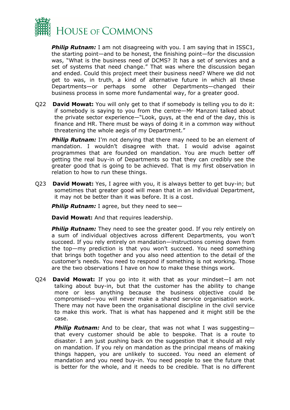

**Philip Rutnam:** I am not disagreeing with you. I am saying that in ISSC1, the starting point—and to be honest, the finishing point—for the discussion was, "What is the business need of DCMS? It has a set of services and a set of systems that need change." That was where the discussion began and ended. Could this project meet their business need? Where we did not get to was, in truth, a kind of alternative future in which all these Departments—or perhaps some other Departments—changed their business process in some more fundamental way, for a greater good.

Q22 **David Mowat:** You will only get to that if somebody is telling you to do it: if somebody is saying to you from the centre—Mr Manzoni talked about the private sector experience—"Look, guys, at the end of the day, this is finance and HR. There must be ways of doing it in a common way without threatening the whole aegis of my Department."

**Philip Rutnam:** I'm not denying that there may need to be an element of mandation. I wouldn't disagree with that. I would advise against programmes that are founded on mandation. You are much better off getting the real buy-in of Departments so that they can credibly see the greater good that is going to be achieved. That is my first observation in relation to how to run these things.

Q23 **David Mowat:** Yes, I agree with you, it is always better to get buy-in; but sometimes that greater good will mean that in an individual Department, it may not be better than it was before. It is a cost.

**Philip Rutnam:** I agree, but they need to see-

**David Mowat:** And that requires leadership.

**Philip Rutnam:** They need to see the greater good. If you rely entirely on a sum of individual objectives across different Departments, you won't succeed. If you rely entirely on mandation—instructions coming down from the top—my prediction is that you won't succeed. You need something that brings both together and you also need attention to the detail of the customer's needs. You need to respond if something is not working. Those are the two observations I have on how to make these things work.

Q24 **David Mowat:** If you go into it with that as your mindset—I am not talking about buy-in, but that the customer has the ability to change more or less anything because the business objective could be compromised—you will never make a shared service organisation work. There may not have been the organisational discipline in the civil service to make this work. That is what has happened and it might still be the case.

**Philip Rutnam:** And to be clear, that was not what I was suggestingthat every customer should be able to bespoke. That is a route to disaster. I am just pushing back on the suggestion that it should all rely on mandation. If you rely on mandation as the principal means of making things happen, you are unlikely to succeed. You need an element of mandation and you need buy-in. You need people to see the future that is better for the whole, and it needs to be credible. That is no different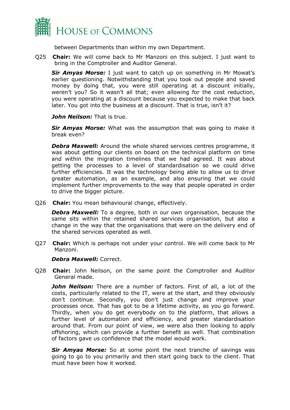

between Departments than within my own Department.

Q25 **Chair:** We will come back to Mr Manzoni on this subject. I just want to bring in the Comptroller and Auditor General.

*Sir Amyas Morse:* I just want to catch up on something in Mr Mowat's earlier questioning. Notwithstanding that you took out people and saved money by doing that, you were still operating at a discount initially, weren't you? So it wasn't all that; even allowing for the cost reduction, you were operating at a discount because you expected to make that back later. You got into the business at a discount. That is true, isn't it?

*John Neilson:* That is true.

*Sir Amyas Morse:* What was the assumption that was going to make it break even?

*Debra Maxwell:* Around the whole shared services centres programme, it was about getting our clients on board on the technical platform on time and within the migration timelines that we had agreed. It was about getting the processes to a level of standardisation so we could drive further efficiencies. It was the technology being able to allow us to drive greater automation, as an example, and also ensuring that we could implement further improvements to the way that people operated in order to drive the bigger picture.

Q26 **Chair:** You mean behavioural change, effectively.

*Debra Maxwell:* To a degree, both in our own organisation, because the same sits within the retained shared services organisation, but also a change in the way that the organisations that were on the delivery end of the shared services operated as well.

Q27 **Chair:** Which is perhaps not under your control. We will come back to Mr Manzoni.

#### *Debra Maxwell:* Correct.

Q28 **Chair:** John Neilson, on the same point the Comptroller and Auditor General made.

*John Neilson:* There are a number of factors. First of all, a lot of the costs, particularly related to the IT, were at the start, and they obviously don't continue. Secondly, you don't just change and improve your processes once. That has got to be a lifetime activity, as you go forward. Thirdly, when you do get everybody on to the platform, that allows a further level of automation and efficiency, and greater standardisation around that. From our point of view, we were also then looking to apply offshoring, which can provide a further benefit as well. That combination of factors gave us confidence that the model would work.

*Sir Amyas Morse:* So at some point the next tranche of savings was going to go to you primarily and then start going back to the client. That must have been how it worked.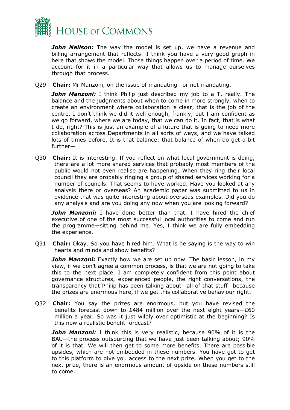

*John Neilson:* The way the model is set up, we have a revenue and billing arrangement that reflects—I think you have a very good graph in here that shows the model. Those things happen over a period of time. We account for it in a particular way that allows us to manage ourselves through that process.

Q29 **Chair:** Mr Manzoni, on the issue of mandating—or not mandating.

*John Manzoni:* I think Philip just described my job to a T, really. The balance and the judgments about when to come in more strongly, when to create an environment where collaboration is clear, that is the job of the centre. I don't think we did it well enough, frankly, but I am confident as we go forward, where we are today, that we can do it. In fact, that is what I do, right? This is just an example of a future that is going to need more collaboration across Departments in all sorts of ways, and we have talked lots of times before. It is that balance: that balance of when do get a bit further—

Q30 **Chair:** It is interesting. If you reflect on what local government is doing, there are a lot more shared services that probably most members of the public would not even realise are happening. When they ring their local council they are probably ringing a group of shared services working for a number of councils. That seems to have worked. Have you looked at any analysis there or overseas? An academic paper was submitted to us in evidence that was quite interesting about overseas examples. Did you do any analysis and are you doing any now when you are looking forward?

*John Manzoni:* I have done better than that. I have hired the chief executive of one of the most successful local authorities to come and run the programme—sitting behind me. Yes, I think we are fully embedding the experience.

Q31 **Chair:** Okay. So you have hired him. What is he saying is the way to win hearts and minds and show benefits?

*John Manzoni:* Exactly how we are set up now. The basic lesson, in my view, if we don't agree a common process, is that we are not going to take this to the next place. I am completely confident from this point about governance structures, experienced people, the right conversations, the transparency that Philip has been talking about—all of that stuff—because the prizes are enormous here, if we get this collaborative behaviour right.

Q32 **Chair:** You say the prizes are enormous, but you have revised the benefits forecast down to £484 million over the next eight years—£60 million a year. So was it just wildly over optimistic at the beginning? Is this now a realistic benefit forecast?

*John Manzoni:* I think this is very realistic, because 90% of it is the BAU—the process outsourcing that we have just been talking about; 90% of it is that. We will then get to some more benefits. There are possible upsides, which are not embedded in these numbers. You have got to get to this platform to give you access to the next prize. When you get to the next prize, there is an enormous amount of upside on these numbers still to come.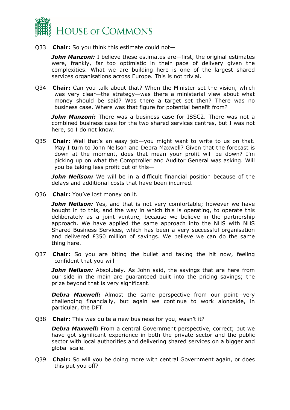

Q33 **Chair:** So you think this estimate could not—

*John Manzoni:* I believe these estimates are—first, the original estimates were, frankly, far too optimistic in their pace of delivery given the complexities. What we are building here is one of the largest shared services organisations across Europe. This is not trivial.

Q34 **Chair:** Can you talk about that? When the Minister set the vision, which was very clear—the strategy—was there a ministerial view about what money should be said? Was there a target set then? There was no business case. Where was that figure for potential benefit from?

*John Manzoni:* There was a business case for ISSC2. There was not a combined business case for the two shared services centres, but I was not here, so I do not know.

Q35 **Chair:** Well that's an easy job—you might want to write to us on that. May I turn to John Neilson and Debra Maxwell? Given that the forecast is down at the moment, does that mean your profit will be down? I'm picking up on what the Comptroller and Auditor General was asking. Will you be taking less profit out of this—

**John Neilson:** We will be in a difficult financial position because of the delays and additional costs that have been incurred.

Q36 **Chair:** You've lost money on it.

*John Neilson:* Yes, and that is not very comfortable; however we have bought in to this, and the way in which this is operating, to operate this deliberately as a joint venture, because we believe in the partnership approach. We have applied the same approach into the NHS with NHS Shared Business Services, which has been a very successful organisation and delivered £350 million of savings. We believe we can do the same thing here.

Q37 **Chair:** So you are biting the bullet and taking the hit now, feeling confident that you will—

**John Neilson:** Absolutely. As John said, the savings that are here from our side in the main are guaranteed built into the pricing savings; the prize beyond that is very significant.

*Debra Maxwell:* Almost the same perspective from our point—very challenging financially, but again we continue to work alongside, in particular, the DFT.

Q38 **Chair:** This was quite a new business for you, wasn't it?

*Debra Maxwell:* From a central Government perspective, correct; but we have got significant experience in both the private sector and the public sector with local authorities and delivering shared services on a bigger and global scale.

Q39 **Chair:** So will you be doing more with central Government again, or does this put you off?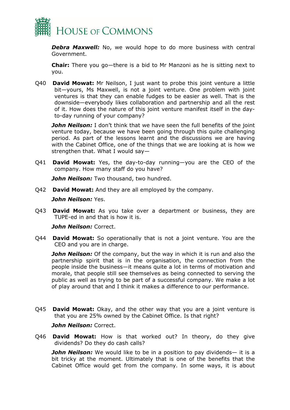

**Debra Maxwell:** No, we would hope to do more business with central Government.

**Chair:** There you go—there is a bid to Mr Manzoni as he is sitting next to you.

Q40 **David Mowat:** Mr Neilson, I just want to probe this joint venture a little bit—yours, Ms Maxwell, is not a joint venture. One problem with joint ventures is that they can enable fudges to be easier as well. That is the downside—everybody likes collaboration and partnership and all the rest of it. How does the nature of this joint venture manifest itself in the dayto-day running of your company?

**John Neilson:** I don't think that we have seen the full benefits of the joint venture today, because we have been going through this quite challenging period. As part of the lessons learnt and the discussions we are having with the Cabinet Office, one of the things that we are looking at is how we strengthen that. What I would say—

Q41 **David Mowat:** Yes, the day-to-day running—you are the CEO of the company. How many staff do you have?

*John Neilson:* Two thousand, two hundred.

Q42 **David Mowat:** And they are all employed by the company.

*John Neilson:* Yes.

Q43 **David Mowat:** As you take over a department or business, they are TUPE-ed in and that is how it is.

*John Neilson:* Correct.

Q44 **David Mowat:** So operationally that is not a joint venture. You are the CEO and you are in charge.

**John Neilson:** Of the company, but the way in which it is run and also the partnership spirit that is in the organisation, the connection from the people inside the business—it means quite a lot in terms of motivation and morale, that people still see themselves as being connected to serving the public as well as trying to be part of a successful company. We make a lot of play around that and I think it makes a difference to our performance.

Q45 **David Mowat:** Okay, and the other way that you are a joint venture is that you are 25% owned by the Cabinet Office. Is that right?

*John Neilson:* Correct.

Q46 **David Mowat:** How is that worked out? In theory, do they give dividends? Do they do cash calls?

*John Neilson:* We would like to be in a position to pay dividends— it is a bit tricky at the moment. Ultimately that is one of the benefits that the Cabinet Office would get from the company. In some ways, it is about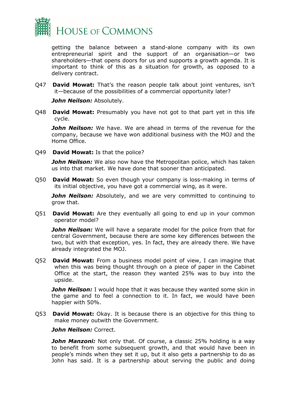

getting the balance between a stand-alone company with its own entrepreneurial spirit and the support of an organisation—or two shareholders—that opens doors for us and supports a growth agenda. It is important to think of this as a situation for growth, as opposed to a delivery contract.

Q47 **David Mowat:** That's the reason people talk about joint ventures, isn't it—because of the possibilities of a commercial opportunity later?

*John Neilson:* Absolutely.

Q48 **David Mowat:** Presumably you have not got to that part yet in this life cycle.

*John Neilson:* We have. We are ahead in terms of the revenue for the company, because we have won additional business with the MOJ and the Home Office.

Q49 **David Mowat:** Is that the police?

*John Neilson:* We also now have the Metropolitan police, which has taken us into that market. We have done that sooner than anticipated.

Q50 **David Mowat:** So even though your company is loss-making in terms of its initial objective, you have got a commercial wing, as it were.

**John Neilson:** Absolutely, and we are very committed to continuing to grow that.

Q51 **David Mowat:** Are they eventually all going to end up in your common operator model?

*John Neilson:* We will have a separate model for the police from that for central Government, because there are some key differences between the two, but with that exception, yes. In fact, they are already there. We have already integrated the MOJ.

Q52 **David Mowat:** From a business model point of view, I can imagine that when this was being thought through on a piece of paper in the Cabinet Office at the start, the reason they wanted 25% was to buy into the upside.

*John Neilson:* I would hope that it was because they wanted some skin in the game and to feel a connection to it. In fact, we would have been happier with 50%.

Q53 **David Mowat:** Okay. It is because there is an objective for this thing to make money outwith the Government.

*John Neilson:* Correct.

*John Manzoni:* Not only that. Of course, a classic 25% holding is a way to benefit from some subsequent growth, and that would have been in people's minds when they set it up, but it also gets a partnership to do as John has said. It is a partnership about serving the public and doing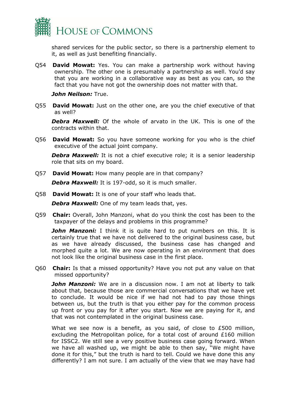

shared services for the public sector, so there is a partnership element to it, as well as just benefiting financially.

Q54 **David Mowat:** Yes. You can make a partnership work without having ownership. The other one is presumably a partnership as well. You'd say that you are working in a collaborative way as best as you can, so the fact that you have not got the ownership does not matter with that.

*John Neilson:* True.

Q55 **David Mowat:** Just on the other one, are you the chief executive of that as well?

*Debra Maxwell:* Of the whole of arvato in the UK. This is one of the contracts within that.

Q56 **David Mowat:** So you have someone working for you who is the chief executive of the actual joint company.

*Debra Maxwell:* It is not a chief executive role; it is a senior leadership role that sits on my board.

Q57 **David Mowat:** How many people are in that company?

*Debra Maxwell:* It is 197-odd, so it is much smaller.

Q58 **David Mowat:** It is one of your staff who leads that.

*Debra Maxwell:* One of my team leads that, yes.

Q59 **Chair:** Overall, John Manzoni, what do you think the cost has been to the taxpayer of the delays and problems in this programme?

*John Manzoni:* I think it is quite hard to put numbers on this. It is certainly true that we have not delivered to the original business case, but as we have already discussed, the business case has changed and morphed quite a lot. We are now operating in an environment that does not look like the original business case in the first place.

Q60 **Chair:** Is that a missed opportunity? Have you not put any value on that missed opportunity?

**John Manzoni:** We are in a discussion now. I am not at liberty to talk about that, because those are commercial conversations that we have yet to conclude. It would be nice if we had not had to pay those things between us, but the truth is that you either pay for the common process up front or you pay for it after you start. Now we are paying for it, and that was not contemplated in the original business case.

What we see now is a benefit, as you said, of close to £500 million, excluding the Metropolitan police, for a total cost of around £160 million for ISSC2. We still see a very positive business case going forward. When we have all washed up, we might be able to then say, "We might have done it for this," but the truth is hard to tell. Could we have done this any differently? I am not sure. I am actually of the view that we may have had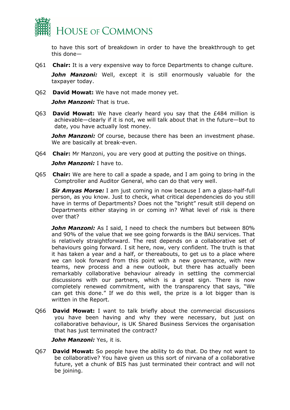

to have this sort of breakdown in order to have the breakthrough to get this done—

Q61 **Chair:** It is a very expensive way to force Departments to change culture.

*John Manzoni:* Well, except it is still enormously valuable for the taxpayer today.

Q62 **David Mowat:** We have not made money yet.

*John Manzoni:* That is true.

Q63 **David Mowat:** We have clearly heard you say that the £484 million is achievable—clearly if it is not, we will talk about that in the future—but to date, you have actually lost money.

**John Manzoni:** Of course, because there has been an investment phase. We are basically at break-even.

Q64 **Chair:** Mr Manzoni, you are very good at putting the positive on things.

*John Manzoni:* I have to.

Q65 **Chair:** We are here to call a spade a spade, and I am going to bring in the Comptroller and Auditor General, who can do that very well.

*Sir Amyas Morse:* I am just coming in now because I am a glass-half-full person, as you know. Just to check, what critical dependencies do you still have in terms of Departments? Does not the "bright" result still depend on Departments either staying in or coming in? What level of risk is there over that?

*John Manzoni:* As I said, I need to check the numbers but between 80% and 90% of the value that we see going forwards is the BAU services. That is relatively straightforward. The rest depends on a collaborative set of behaviours going forward. I sit here, now, very confident. The truth is that it has taken a year and a half, or thereabouts, to get us to a place where we can look forward from this point with a new governance, with new teams, new process and a new outlook, but there has actually been remarkably collaborative behaviour already in settling the commercial discussions with our partners, which is a great sign. There is now completely renewed commitment, with the transparency that says, "We can get this done." If we do this well, the prize is a lot bigger than is written in the Report.

Q66 **David Mowat:** I want to talk briefly about the commercial discussions you have been having and why they were necessary, but just on collaborative behaviour, is UK Shared Business Services the organisation that has just terminated the contract?

*John Manzoni:* Yes, it is.

Q67 **David Mowat:** So people have the ability to do that. Do they not want to be collaborative? You have given us this sort of nirvana of a collaborative future, yet a chunk of BIS has just terminated their contract and will not be joining.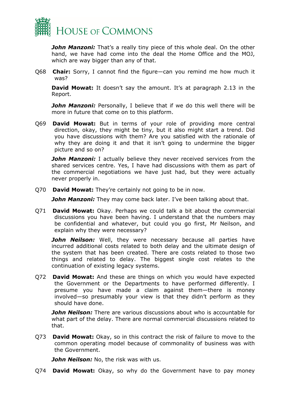

**John Manzoni:** That's a really tiny piece of this whole deal. On the other hand, we have had come into the deal the Home Office and the MOJ, which are way bigger than any of that.

Q68 **Chair:** Sorry, I cannot find the figure—can you remind me how much it was?

**David Mowat:** It doesn't say the amount. It's at paragraph 2.13 in the Report.

**John Manzoni:** Personally, I believe that if we do this well there will be more in future that come on to this platform.

Q69 **David Mowat:** But in terms of your role of providing more central direction, okay, they might be tiny, but it also might start a trend. Did you have discussions with them? Are you satisfied with the rationale of why they are doing it and that it isn't going to undermine the bigger picture and so on?

**John Manzoni:** I actually believe they never received services from the shared services centre. Yes, I have had discussions with them as part of the commercial negotiations we have just had, but they were actually never properly in.

Q70 **David Mowat:** They're certainly not going to be in now.

**John Manzoni:** They may come back later. I've been talking about that.

Q71 **David Mowat:** Okay. Perhaps we could talk a bit about the commercial discussions you have been having. I understand that the numbers may be confidential and whatever, but could you go first, Mr Neilson, and explain why they were necessary?

*John Neilson:* Well, they were necessary because all parties have incurred additional costs related to both delay and the ultimate design of the system that has been created. There are costs related to those two things and related to delay. The biggest single cost relates to the continuation of existing legacy systems.

Q72 **David Mowat:** And these are things on which you would have expected the Government or the Departments to have performed differently. I presume you have made a claim against them—there is money involved—so presumably your view is that they didn't perform as they should have done.

*John Neilson:* There are various discussions about who is accountable for what part of the delay. There are normal commercial discussions related to that.

Q73 **David Mowat:** Okay, so in this contract the risk of failure to move to the common operating model because of commonality of business was with the Government.

*John Neilson:* No, the risk was with us.

Q74 **David Mowat:** Okay, so why do the Government have to pay money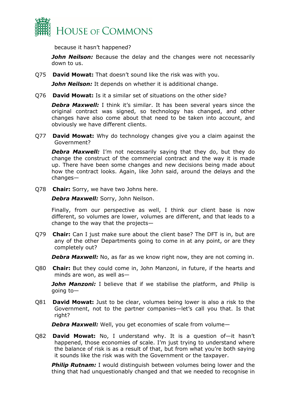

because it hasn't happened?

*John Neilson:* Because the delay and the changes were not necessarily down to us.

Q75 **David Mowat:** That doesn't sound like the risk was with you.

*John Neilson:* It depends on whether it is additional change.

Q76 **David Mowat:** Is it a similar set of situations on the other side?

*Debra Maxwell:* I think it's similar. It has been several years since the original contract was signed, so technology has changed, and other changes have also come about that need to be taken into account, and obviously we have different clients.

Q77 **David Mowat:** Why do technology changes give you a claim against the Government?

**Debra Maxwell:** I'm not necessarily saying that they do, but they do change the construct of the commercial contract and the way it is made up. There have been some changes and new decisions being made about how the contract looks. Again, like John said, around the delays and the changes—

Q78 **Chair:** Sorry, we have two Johns here.

*Debra Maxwell:* Sorry, John Neilson.

Finally, from our perspective as well, I think our client base is now different, so volumes are lower, volumes are different, and that leads to a change to the way that the projects—

Q79 **Chair:** Can I just make sure about the client base? The DFT is in, but are any of the other Departments going to come in at any point, or are they completely out?

*Debra Maxwell:* No, as far as we know right now, they are not coming in.

Q80 **Chair:** But they could come in, John Manzoni, in future, if the hearts and minds are won, as well as—

**John Manzoni:** I believe that if we stabilise the platform, and Philip is going to—

Q81 **David Mowat:** Just to be clear, volumes being lower is also a risk to the Government, not to the partner companies—let's call you that. Is that right?

*Debra Maxwell:* Well, you get economies of scale from volume—

Q82 **David Mowat:** No, I understand why. It is a question of—it hasn't happened, those economies of scale. I'm just trying to understand where the balance of risk is as a result of that, but from what you're both saying it sounds like the risk was with the Government or the taxpayer.

**Philip Rutnam:** I would distinguish between volumes being lower and the thing that had unquestionably changed and that we needed to recognise in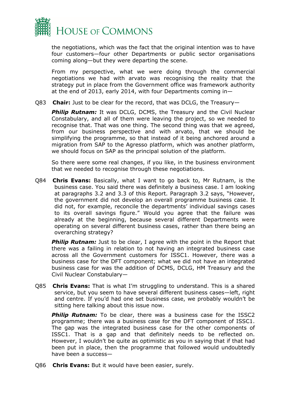

the negotiations, which was the fact that the original intention was to have four customers—four other Departments or public sector organisations coming along—but they were departing the scene.

From my perspective, what we were doing through the commercial negotiations we had with arvato was recognising the reality that the strategy put in place from the Government office was framework authority at the end of 2013, early 2014, with four Departments coming in—

Q83 **Chair:** Just to be clear for the record, that was DCLG, the Treasury—

**Philip Rutnam:** It was DCLG, DCMS, the Treasury and the Civil Nuclear Constabulary, and all of them were leaving the project, so we needed to recognise that. That was one thing. The second thing was that we agreed, from our business perspective and with arvato, that we should be simplifying the programme, so that instead of it being anchored around a migration from SAP to the Agresso platform, which was another platform, we should focus on SAP as the principal solution of the platform.

So there were some real changes, if you like, in the business environment that we needed to recognise through these negotiations.

Q84 **Chris Evans:** Basically, what I want to go back to, Mr Rutnam, is the business case. You said there was definitely a business case. I am looking at paragraphs 3.2 and 3.3 of this Report. Paragraph 3.2 says, "However, the government did not develop an overall programme business case. It did not, for example, reconcile the departments' individual savings cases to its overall savings figure." Would you agree that the failure was already at the beginning, because several different Departments were operating on several different business cases, rather than there being an overarching strategy?

**Philip Rutnam:** Just to be clear, I agree with the point in the Report that there was a failing in relation to not having an integrated business case across all the Government customers for ISSC1. However, there was a business case for the DFT component; what we did not have an integrated business case for was the addition of DCMS, DCLG, HM Treasury and the Civil Nuclear Constabulary—

Q85 **Chris Evans:** That is what I'm struggling to understand. This is a shared service, but you seem to have several different business cases—left, right and centre. If you'd had one set business case, we probably wouldn't be sitting here talking about this issue now.

**Philip Rutnam:** To be clear, there was a business case for the ISSC2 programme; there was a business case for the DFT component of ISSC1. The gap was the integrated business case for the other components of ISSC1. That is a gap and that definitely needs to be reflected on. However, I wouldn't be quite as optimistic as you in saying that if that had been put in place, then the programme that followed would undoubtedly have been a success—

Q86 **Chris Evans:** But it would have been easier, surely.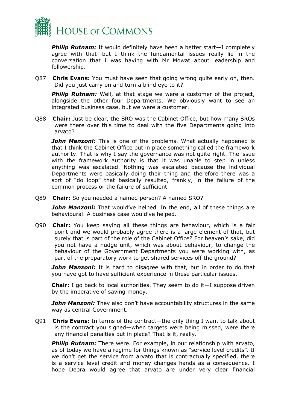

**Philip Rutnam:** It would definitely have been a better start—I completely agree with that—but I think the fundamental issues really lie in the conversation that I was having with Mr Mowat about leadership and followership.

Q87 **Chris Evans:** You must have seen that going wrong quite early on, then. Did you just carry on and turn a blind eye to it?

**Philip Rutnam:** Well, at that stage we were a customer of the project, alongside the other four Departments. We obviously want to see an integrated business case, but we were a customer.

Q88 **Chair:** Just be clear, the SRO was the Cabinet Office, but how many SROs were there over this time to deal with the five Departments going into arvato?

*John Manzoni:* This is one of the problems. What actually happened is that I think the Cabinet Office put in place something called the framework authority. That is why I say the governance was not quite right. The issue with the framework authority is that it was unable to step in unless anything was escalated. Nothing was escalated because the individual Departments were basically doing their thing and therefore there was a sort of "do loop" that basically resulted, frankly, in the failure of the common process or the failure of sufficient—

Q89 **Chair:** So you needed a named person? A named SRO?

*John Manzoni:* That would've helped. In the end, all of these things are behavioural. A business case would've helped.

Q90 **Chair:** You keep saying all these things are behaviour, which is a fair point and we would probably agree there is a large element of that, but surely that is part of the role of the Cabinet Office? For heaven's sake, did you not have a nudge unit, which was about behaviour, to change the behaviour of the Government Departments you were working with, as part of the preparatory work to get shared services off the ground?

*John Manzoni:* It is hard to disagree with that, but in order to do that you have got to have sufficient experience in these particular issues.

**Chair:** I go back to local authorities. They seem to do it—I suppose driven by the imperative of saving money.

**John Manzoni:** They also don't have accountability structures in the same way as central Government.

Q91 **Chris Evans:** In terms of the contract—the only thing I want to talk about is the contract you signed—when targets were being missed, were there any financial penalties put in place? That is it, really.

**Philip Rutnam:** There were. For example, in our relationship with arvato, as of today we have a regime for things known as "service level credits". If we don't get the service from arvato that is contractually specified, there is a service level credit and money changes hands as a consequence. I hope Debra would agree that arvato are under very clear financial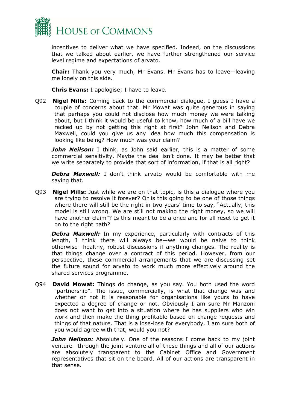

incentives to deliver what we have specified. Indeed, on the discussions that we talked about earlier, we have further strengthened our service level regime and expectations of arvato.

**Chair:** Thank you very much, Mr Evans. Mr Evans has to leave—leaving me lonely on this side.

**Chris Evans:** I apologise; I have to leave.

Q92 **Nigel Mills:** Coming back to the commercial dialogue, I guess I have a couple of concerns about that. Mr Mowat was quite generous in saying that perhaps you could not disclose how much money we were talking about, but I think it would be useful to know, how much of a bill have we racked up by not getting this right at first? John Neilson and Debra Maxwell, could you give us any idea how much this compensation is looking like being? How much was your claim?

**John Neilson:** I think, as John said earlier, this is a matter of some commercial sensitivity. Maybe the deal isn't done. It may be better that we write separately to provide that sort of information, if that is all right?

*Debra Maxwell:* I don't think arvato would be comfortable with me saying that.

Q93 **Nigel Mills:** Just while we are on that topic, is this a dialogue where you are trying to resolve it forever? Or is this going to be one of those things where there will still be the right in two years' time to say, "Actually, this model is still wrong. We are still not making the right money, so we will have another claim"? Is this meant to be a once and for all reset to get it on to the right path?

**Debra Maxwell:** In my experience, particularly with contracts of this length, I think there will always be—we would be naive to think otherwise—healthy, robust discussions if anything changes. The reality is that things change over a contract of this period. However, from our perspective, these commercial arrangements that we are discussing set the future sound for arvato to work much more effectively around the shared services programme.

Q94 **David Mowat:** Things do change, as you say. You both used the word "partnership". The issue, commercially, is what that change was and whether or not it is reasonable for organisations like yours to have expected a degree of change or not. Obviously I am sure Mr Manzoni does not want to get into a situation where he has suppliers who win work and then make the thing profitable based on change requests and things of that nature. That is a lose-lose for everybody. I am sure both of you would agree with that, would you not?

**John Neilson:** Absolutely. One of the reasons I come back to my joint venture—through the joint venture all of these things and all of our actions are absolutely transparent to the Cabinet Office and Government representatives that sit on the board. All of our actions are transparent in that sense.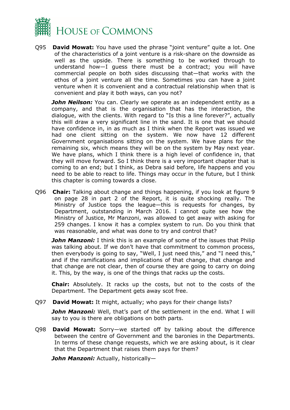

Q95 **David Mowat:** You have used the phrase "joint venture" quite a lot. One of the characteristics of a joint venture is a risk-share on the downside as well as the upside. There is something to be worked through to understand how—I guess there must be a contract; you will have commercial people on both sides discussing that—that works with the ethos of a joint venture all the time. Sometimes you can have a joint venture when it is convenient and a contractual relationship when that is convenient and play it both ways, can you not?

**John Neilson:** You can. Clearly we operate as an independent entity as a company, and that is the organisation that has the interaction, the dialogue, with the clients. With regard to "Is this a line forever?", actually this will draw a very significant line in the sand. It is one that we should have confidence in, in as much as I think when the Report was issued we had one client sitting on the system. We now have 12 different Government organisations sitting on the system. We have plans for the remaining six, which means they will be on the system by May next year. We have plans, which I think there is a high level of confidence in, that they will move forward. So I think there is a very important chapter that is coming to an end; but I think, as Debra said before, life happens and you need to be able to react to life. Things may occur in the future, but I think this chapter is coming towards a close.

Q96 **Chair:** Talking about change and things happening, if you look at figure 9 on page 28 in part 2 of the Report, it is quite shocking really. The Ministry of Justice tops the league—this is requests for changes, by Department, outstanding in March 2016. I cannot quite see how the Ministry of Justice, Mr Manzoni, was allowed to get away with asking for 259 changes. I know it has a complex system to run. Do you think that was reasonable, and what was done to try and control that?

*John Manzoni:* I think this is an example of some of the issues that Philip was talking about. If we don't have that commitment to common process, then everybody is going to say, "Well, I just need this," and "I need this," and if the ramifications and implications of that change, that change and that change are not clear, then of course they are going to carry on doing it. This, by the way, is one of the things that racks up the costs.

**Chair:** Absolutely. It racks up the costs, but not to the costs of the Department. The Department gets away scot free.

Q97 **David Mowat:** It might, actually; who pays for their change lists?

*John Manzoni:* Well, that's part of the settlement in the end. What I will say to you is there are obligations on both parts.

Q98 **David Mowat:** Sorry—we started off by talking about the difference between the centre of Government and the baronies in the Departments. In terms of these change requests, which we are asking about, is it clear that the Department that raises them pays for them?

*John Manzoni:* Actually, historically—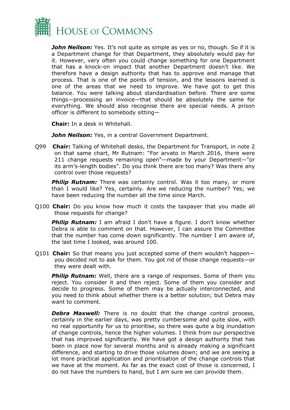

*John Neilson:* Yes. It's not quite as simple as yes or no, though. So if it is a Department change for that Department, they absolutely would pay for it. However, very often you could change something for one Department that has a knock-on impact that another Department doesn't like. We therefore have a design authority that has to approve and manage that process. That is one of the points of tension, and the lessons learned is one of the areas that we need to improve. We have got to get this balance. You were talking about standardisation before. There are some things—processing an invoice—that should be absolutely the same for everything. We should also recognise there are special needs. A prison officer is different to somebody sitting—

**Chair:** In a desk in Whitehall.

*John Neilson:* Yes, in a central Government Department.

Q99 **Chair:** Talking of Whitehall desks, the Department for Transport, in note 2 on that same chart, Mr Rutnam: "For arvato in March 2016, there were 211 change requests remaining open"—made by your Department—"or its arm's-length bodies". Do you think there are too many? Was there any control over those requests?

**Philip Rutnam:** There was certainly control. Was it too many, or more than I would like? Yes, certainly. Are we reducing the number? Yes; we have been reducing the number all the time since March.

Q100 **Chair:** Do you know how much it costs the taxpayer that you made all those requests for change?

**Philip Rutnam:** I am afraid I don't have a figure. I don't know whether Debra is able to comment on that. However, I can assure the Committee that the number has come down significantly. The number I am aware of, the last time I looked, was around 100.

Q101 **Chair:** So that means you just accepted some of them wouldn't happen you decided not to ask for them. You got rid of those change requests—or they were dealt with.

**Philip Rutnam:** Well, there are a range of responses. Some of them you reject. You consider it and then reject. Some of them you consider and decide to progress. Some of them may be actually interconnected, and you need to think about whether there is a better solution; but Debra may want to comment.

**Debra Maxwell:** There is no doubt that the change control process, certainly in the earlier days, was pretty cumbersome and quite slow, with no real opportunity for us to prioritise, so there was quite a big inundation of change controls, hence the higher volumes. I think from our perspective that has improved significantly. We have got a design authority that has been in place now for several months and is already making a significant difference, and starting to drive those volumes down; and we are seeing a lot more practical application and prioritisation of the change controls that we have at the moment. As far as the exact cost of those is concerned, I do not have the numbers to hand, but I am sure we can provide them.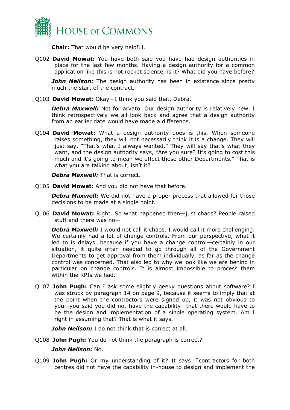

**Chair:** That would be very helpful.

Q102 **David Mowat:** You have both said you have had design authorities in place for the last few months. Having a design authority for a common application like this is not rocket science, is it? What did you have before?

*John Neilson:* The design authority has been in existence since pretty much the start of the contract.

Q103 **David Mowat:** Okay—I think you said that, Debra.

**Debra Maxwell:** Not for arvato. Our design authority is relatively new. I think retrospectively we all look back and agree that a design authority from an earlier date would have made a difference.

Q104 **David Mowat:** What a design authority does is this. When someone raises something, they will not necessarily think it is a change. They will just say, "That's what I always wanted." They will say that's what they want, and the design authority says, "Are you sure? It's going to cost this much and it's going to mean we affect these other Departments." That is what you are talking about, isn't it?

*Debra Maxwell:* That is correct.

Q105 **David Mowat:** And you did not have that before.

**Debra Maxwell:** We did not have a proper process that allowed for those decisions to be made at a single point.

Q106 **David Mowat:** Right. So what happened then—just chaos? People raised stuff and there was no—

**Debra Maxwell:** I would not call it chaos. I would call it more challenging. We certainly had a lot of change controls. From our perspective, what it led to is delays, because if you have a change control—certainly in our situation, it quite often needed to go through all of the Government Departments to get approval from them individually, as far as the change control was concerned. That also led to why we look like we are behind in particular on change controls. It is almost impossible to process them within the KPIs we had.

Q107 **John Pugh:** Can I ask some slightly geeky questions about software? I was struck by paragraph 14 on page 9, because it seems to imply that at the point when the contractors were signed up, it was not obvious to you—you said you did not have the capability—that there would have to be the design and implementation of a single operating system. Am I right in assuming that? That is what it says.

*John Neilson:* I do not think that is correct at all.

Q108 **John Pugh:** You do not think the paragraph is correct?

#### *John Neilson:* No.

Q109 **John Pugh:** Or my understanding of it? It says: "contractors for both centres did not have the capability in-house to design and implement the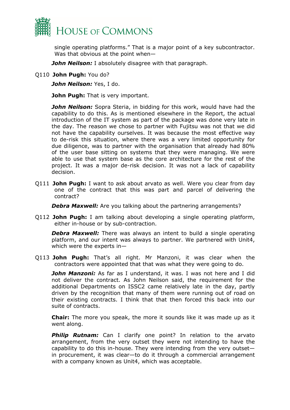

single operating platforms." That is a major point of a key subcontractor. Was that obvious at the point when—

*John Neilson:* I absolutely disagree with that paragraph.

Q110 **John Pugh:** You do?

*John Neilson:* Yes, I do.

**John Pugh:** That is very important.

**John Neilson:** Sopra Steria, in bidding for this work, would have had the capability to do this. As is mentioned elsewhere in the Report, the actual introduction of the IT system as part of the package was done very late in the day. The reason we chose to partner with Fujitsu was not that we did not have the capability ourselves. It was because the most effective way to de-risk this situation, where there was a very limited opportunity for due diligence, was to partner with the organisation that already had 80% of the user base sitting on systems that they were managing. We were able to use that system base as the core architecture for the rest of the project. It was a major de-risk decision. It was not a lack of capability decision.

Q111 **John Pugh:** I want to ask about arvato as well. Were you clear from day one of the contract that this was part and parcel of delivering the contract?

**Debra Maxwell:** Are you talking about the partnering arrangements?

Q112 **John Pugh:** I am talking about developing a single operating platform, either in-house or by sub-contraction.

**Debra Maxwell:** There was always an intent to build a single operating platform, and our intent was always to partner. We partnered with Unit4, which were the experts in—

Q113 **John Pugh:** That's all right. Mr Manzoni, it was clear when the contractors were appointed that that was what they were going to do.

*John Manzoni:* As far as I understand, it was. I was not here and I did not deliver the contract. As John Neilson said, the requirement for the additional Departments on ISSC2 came relatively late in the day, partly driven by the recognition that many of them were running out of road on their existing contracts. I think that that then forced this back into our suite of contracts.

**Chair:** The more you speak, the more it sounds like it was made up as it went along.

**Philip Rutnam:** Can I clarify one point? In relation to the arvato arrangement, from the very outset they were not intending to have the capability to do this in-house. They were intending from the very outset in procurement, it was clear—to do it through a commercial arrangement with a company known as Unit4, which was acceptable.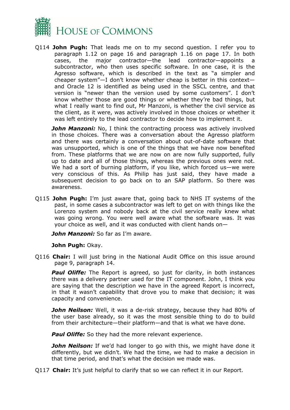

Q114 **John Pugh:** That leads me on to my second question. I refer you to paragraph 1.12 on page 16 and paragraph 1.16 on page 17. In both cases, the major contractor—the lead contractor—appoints a subcontractor, who then uses specific software. In one case, it is the Agresso software, which is described in the text as "a simpler and cheaper system"—I don't know whether cheap is better in this context and Oracle 12 is identified as being used in the SSCL centre, and that version is "newer than the version used by some customers". I don't know whether those are good things or whether they're bad things, but what I really want to find out, Mr Manzoni, is whether the civil service as the client, as it were, was actively involved in those choices or whether it was left entirely to the lead contractor to decide how to implement it.

**John Manzoni:** No, I think the contracting process was actively involved in those choices. There was a conversation about the Agresso platform and there was certainly a conversation about out-of-date software that was unsupported, which is one of the things that we have now benefited from. These platforms that we are now on are now fully supported, fully up to date and all of those things, whereas the previous ones were not. We had a sort of burning platform, if you like, which forced us—we were very conscious of this. As Philip has just said, they have made a subsequent decision to go back on to an SAP platform. So there was awareness.

Q115 **John Pugh:** I'm just aware that, going back to NHS IT systems of the past, in some cases a subcontractor was left to get on with things like the Lorenzo system and nobody back at the civil service really knew what was going wrong. You were well aware what the software was. It was your choice as well, and it was conducted with client hands on—

*John Manzoni:* So far as I'm aware.

#### **John Pugh:** Okay.

Q116 **Chair:** I will just bring in the National Audit Office on this issue around page 9, paragraph 14.

**Paul Oliffe:** The Report is agreed, so just for clarity, in both instances there was a delivery partner used for the IT component. John, I think you are saying that the description we have in the agreed Report is incorrect, in that it wasn't capability that drove you to make that decision; it was capacity and convenience.

**John Neilson:** Well, it was a de-risk strategy, because they had 80% of the user base already, so it was the most sensible thing to do to build from their architecture—their platform—and that is what we have done.

*Paul Oliffe:* So they had the more relevant experience.

*John Neilson:* If we'd had longer to go with this, we might have done it differently, but we didn't. We had the time, we had to make a decision in that time period, and that's what the decision we made was.

Q117 **Chair:** It's just helpful to clarify that so we can reflect it in our Report.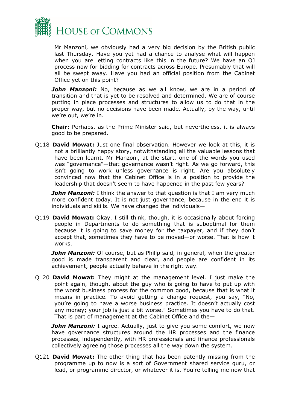

Mr Manzoni, we obviously had a very big decision by the British public last Thursday. Have you yet had a chance to analyse what will happen when you are letting contracts like this in the future? We have an OJ process now for bidding for contracts across Europe. Presumably that will all be swept away. Have you had an official position from the Cabinet Office yet on this point?

**John Manzoni:** No, because as we all know, we are in a period of transition and that is yet to be resolved and determined. We are of course putting in place processes and structures to allow us to do that in the proper way, but no decisions have been made. Actually, by the way, until we're out, we're in.

**Chair:** Perhaps, as the Prime Minister said, but nevertheless, it is always good to be prepared.

Q118 **David Mowat:** Just one final observation. However we look at this, it is not a brilliantly happy story, notwithstanding all the valuable lessons that have been learnt. Mr Manzoni, at the start, one of the words you used was "governance"—that governance wasn't right. As we go forward, this isn't going to work unless governance is right. Are you absolutely convinced now that the Cabinet Office is in a position to provide the leadership that doesn't seem to have happened in the past few years?

**John Manzoni:** I think the answer to that question is that I am very much more confident today. It is not just governance, because in the end it is individuals and skills. We have changed the individuals—

Q119 **David Mowat:** Okay. I still think, though, it is occasionally about forcing people in Departments to do something that is suboptimal for them because it is going to save money for the taxpayer, and if they don't accept that, sometimes they have to be moved—or worse. That is how it works.

**John Manzoni:** Of course, but as Philip said, in general, when the greater good is made transparent and clear, and people are confident in its achievement, people actually behave in the right way.

Q120 **David Mowat:** They might at the management level. I just make the point again, though, about the guy who is going to have to put up with the worst business process for the common good, because that is what it means in practice. To avoid getting a change request, you say, "No, you're going to have a worse business practice. It doesn't actually cost any money; your job is just a bit worse." Sometimes you have to do that. That is part of management at the Cabinet Office and the—

*John Manzoni:* I agree. Actually, just to give you some comfort, we now have governance structures around the HR processes and the finance processes, independently, with HR professionals and finance professionals collectively agreeing those processes all the way down the system.

Q121 **David Mowat:** The other thing that has been patently missing from the programme up to now is a sort of Government shared service guru, or lead, or programme director, or whatever it is. You're telling me now that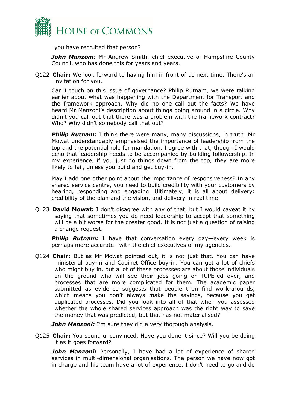

you have recruited that person?

**John Manzoni:** Mr Andrew Smith, chief executive of Hampshire County Council, who has done this for years and years.

Q122 **Chair:** We look forward to having him in front of us next time. There's an invitation for you.

Can I touch on this issue of governance? Philip Rutnam, we were talking earlier about what was happening with the Department for Transport and the framework approach. Why did no one call out the facts? We have heard Mr Manzoni's description about things going around in a circle. Why didn't you call out that there was a problem with the framework contract? Who? Why didn't somebody call that out?

**Philip Rutnam:** I think there were many, many discussions, in truth. Mr Mowat understandably emphasised the importance of leadership from the top and the potential role for mandation. I agree with that, though I would echo that leadership needs to be accompanied by building followership. In my experience, if you just do things down from the top, they are more likely to fail, unless you build and get buy-in.

May I add one other point about the importance of responsiveness? In any shared service centre, you need to build credibility with your customers by hearing, responding and engaging. Ultimately, it is all about delivery: credibility of the plan and the vision, and delivery in real time.

Q123 **David Mowat:** I don't disagree with any of that, but I would caveat it by saying that sometimes you do need leadership to accept that something will be a bit worse for the greater good. It is not just a question of raising a change request.

**Philip Rutnam:** I have that conversation every day—every week is perhaps more accurate—with the chief executives of my agencies.

Q124 **Chair:** But as Mr Mowat pointed out, it is not just that. You can have ministerial buy-in and Cabinet Office buy-in. You can get a lot of chiefs who might buy in, but a lot of these processes are about those individuals on the ground who will see their jobs going or TUPE-ed over, and processes that are more complicated for them. The academic paper submitted as evidence suggests that people then find work-arounds, which means you don't always make the savings, because you get duplicated processes. Did you look into all of that when you assessed whether the whole shared services approach was the right way to save the money that was predicted, but that has not materialised?

*John Manzoni:* I'm sure they did a very thorough analysis.

Q125 **Chair:** You sound unconvinced. Have you done it since? Will you be doing it as it goes forward?

*John Manzoni:* Personally, I have had a lot of experience of shared services in multi-dimensional organisations. The person we have now got in charge and his team have a lot of experience. I don't need to go and do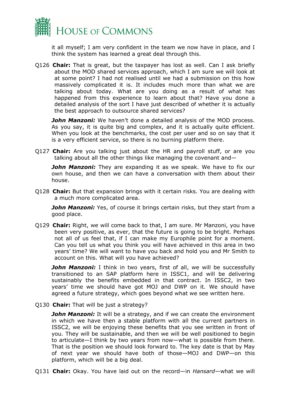

it all myself; I am very confident in the team we now have in place, and I think the system has learned a great deal through this.

Q126 **Chair:** That is great, but the taxpayer has lost as well. Can I ask briefly about the MOD shared services approach, which I am sure we will look at at some point? I had not realised until we had a submission on this how massively complicated it is. It includes much more than what we are talking about today. What are you doing as a result of what has happened from this experience to learn about that? Have you done a detailed analysis of the sort I have just described of whether it is actually the best approach to outsource shared services?

**John Manzoni:** We haven't done a detailed analysis of the MOD process. As you say, it is quite big and complex, and it is actually quite efficient. When you look at the benchmarks, the cost per user and so on say that it is a very efficient service, so there is no burning platform there.

Q127 **Chair:** Are you talking just about the HR and payroll stuff, or are you talking about all the other things like managing the covenant and—

**John Manzoni:** They are expanding it as we speak. We have to fix our own house, and then we can have a conversation with them about their house.

Q128 **Chair:** But that expansion brings with it certain risks. You are dealing with a much more complicated area.

**John Manzoni:** Yes, of course it brings certain risks, but they start from a good place.

Q129 **Chair:** Right, we will come back to that, I am sure. Mr Manzoni, you have been very positive, as ever, that the future is going to be bright. Perhaps not all of us feel that, if I can make my Europhile point for a moment. Can you tell us what you think you will have achieved in this area in two years' time? We will want to have you back and hold you and Mr Smith to account on this. What will you have achieved?

**John Manzoni:** I think in two years, first of all, we will be successfully transitioned to an SAP platform here in ISSC1, and will be delivering sustainably the benefits embedded in that contract. In ISSC2, in two years' time we should have got MOJ and DWP on it. We should have agreed a future strategy, which goes beyond what we see written here.

Q130 **Chair:** That will be just a strategy?

**John Manzoni:** It will be a strategy, and if we can create the environment in which we have then a stable platform with all the current partners in ISSC2, we will be enjoying these benefits that you see written in front of you. They will be sustainable, and then we will be well positioned to begin to articulate—I think by two years from now—what is possible from there. That is the position we should look forward to. The key date is that by May of next year we should have both of those—MOJ and DWP—on this platform, which will be a big deal.

Q131 **Chair:** Okay. You have laid out on the record—in *Hansard*—what we will